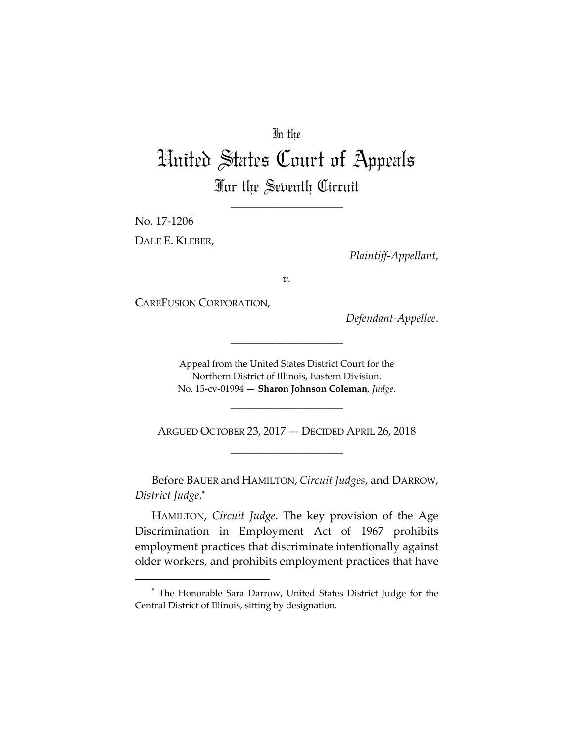# In the

# United States Court of Appeals For the Seventh Circuit

\_\_\_\_\_\_\_\_\_\_\_\_\_\_\_\_\_\_\_\_

No. 17‐1206 DALE E. KLEBER,

*Plaintiff‐Appellant*,

*v.*

CAREFUSION CORPORATION,

*Defendant‐Appellee*.

Appeal from the United States District Court for the Northern District of Illinois, Eastern Division. No. 15‐cv‐01994 — **Sharon Johnson Coleman**, *Judge*.

\_\_\_\_\_\_\_\_\_\_\_\_\_\_\_\_\_\_\_\_

ARGUED OCTOBER 23, 2017 — DECIDED APRIL 26, 2018 \_\_\_\_\_\_\_\_\_\_\_\_\_\_\_\_\_\_\_\_

\_\_\_\_\_\_\_\_\_\_\_\_\_\_\_\_\_\_\_\_

Before BAUER and HAMILTON, *Circuit Judges*, and DARROW, *District Judge*. \*

HAMILTON, *Circuit Judge*. The key provision of the Age Discrimination in Employment Act of 1967 prohibits employment practices that discriminate intentionally against older workers, and prohibits employment practices that have

<sup>\*</sup> The Honorable Sara Darrow, United States District Judge for the Central District of Illinois, sitting by designation.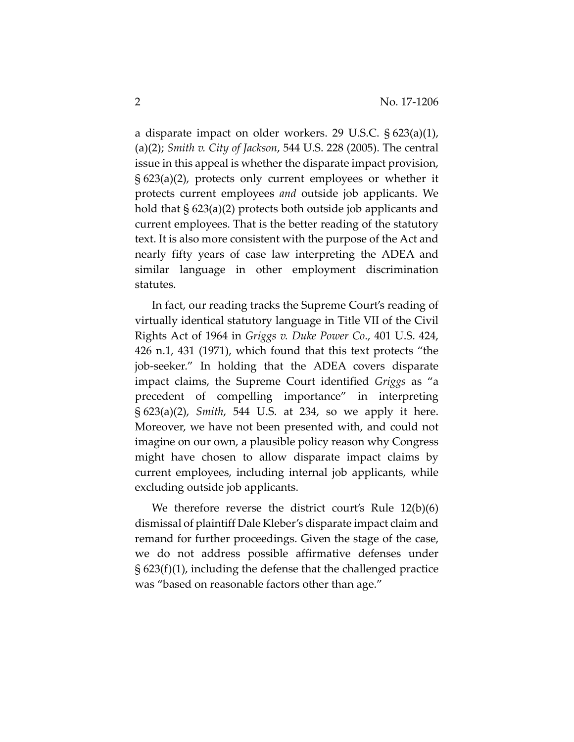a disparate impact on older workers. 29 U.S.C. § 623(a)(1), (a)(2); *Smith v. City of Jackson*, 544 U.S. 228 (2005). The central issue in this appeal is whether the disparate impact provision, § 623(a)(2), protects only current employees or whether it protects current employees *and* outside job applicants. We hold that § 623(a)(2) protects both outside job applicants and current employees. That is the better reading of the statutory text. It is also more consistent with the purpose of the Act and nearly fifty years of case law interpreting the ADEA and similar language in other employment discrimination statutes.

In fact, our reading tracks the Supreme Court's reading of virtually identical statutory language in Title VII of the Civil Rights Act of 1964 in *Griggs v. Duke Power Co*., 401 U.S. 424, 426 n.1, 431 (1971), which found that this text protects "the job‐seeker." In holding that the ADEA covers disparate impact claims, the Supreme Court identified *Griggs* as "a precedent of compelling importance" in interpreting § 623(a)(2), *Smith*, 544 U.S. at 234, so we apply it here. Moreover, we have not been presented with, and could not imagine on our own, a plausible policy reason why Congress might have chosen to allow disparate impact claims by current employees, including internal job applicants, while excluding outside job applicants.

We therefore reverse the district court's Rule 12(b)(6) dismissal of plaintiff Dale Kleber's disparate impact claim and remand for further proceedings. Given the stage of the case, we do not address possible affirmative defenses under § 623(f)(1), including the defense that the challenged practice was "based on reasonable factors other than age."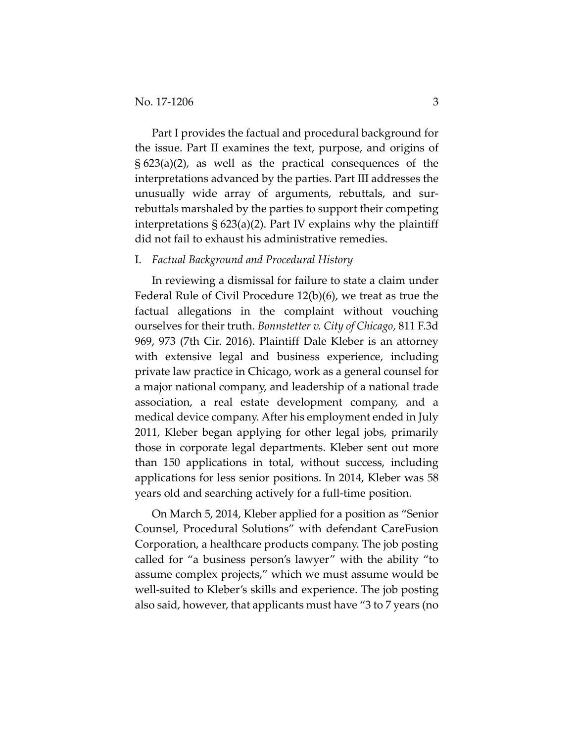Part I provides the factual and procedural background for the issue. Part II examines the text, purpose, and origins of § 623(a)(2), as well as the practical consequences of the interpretations advanced by the parties. Part III addresses the unusually wide array of arguments, rebuttals, and sur‐ rebuttals marshaled by the parties to support their competing interpretations  $\S 623(a)(2)$ . Part IV explains why the plaintiff did not fail to exhaust his administrative remedies.

#### I. *Factual Background and Procedural History*

In reviewing a dismissal for failure to state a claim under Federal Rule of Civil Procedure 12(b)(6), we treat as true the factual allegations in the complaint without vouching ourselves for their truth. *Bonnstetter v. City of Chicago*, 811 F.3d 969, 973 (7th Cir. 2016). Plaintiff Dale Kleber is an attorney with extensive legal and business experience, including private law practice in Chicago, work as a general counsel for a major national company, and leadership of a national trade association, a real estate development company, and a medical device company. After his employment ended in July 2011, Kleber began applying for other legal jobs, primarily those in corporate legal departments. Kleber sent out more than 150 applications in total, without success, including applications for less senior positions. In 2014, Kleber was 58 years old and searching actively for a full‐time position.

On March 5, 2014, Kleber applied for a position as "Senior Counsel, Procedural Solutions" with defendant CareFusion Corporation, a healthcare products company. The job posting called for "a business person's lawyer" with the ability "to assume complex projects," which we must assume would be well-suited to Kleber's skills and experience. The job posting also said, however, that applicants must have "3 to 7 years (no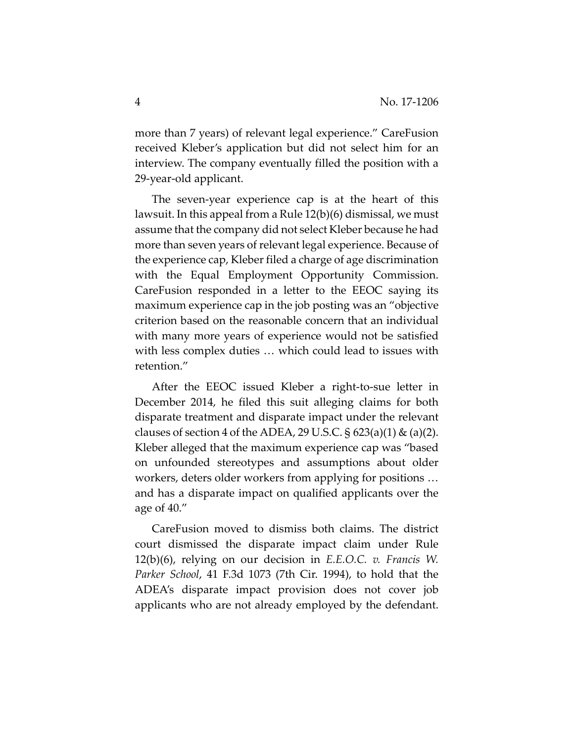more than 7 years) of relevant legal experience." CareFusion received Kleber's application but did not select him for an interview. The company eventually filled the position with a 29‐year‐old applicant.

The seven-year experience cap is at the heart of this lawsuit. In this appeal from a Rule 12(b)(6) dismissal, we must assume that the company did not select Kleber because he had more than seven years of relevant legal experience. Because of the experience cap, Kleber filed a charge of age discrimination with the Equal Employment Opportunity Commission. CareFusion responded in a letter to the EEOC saying its maximum experience cap in the job posting was an "objective criterion based on the reasonable concern that an individual with many more years of experience would not be satisfied with less complex duties … which could lead to issues with retention."

After the EEOC issued Kleber a right‐to‐sue letter in December 2014, he filed this suit alleging claims for both disparate treatment and disparate impact under the relevant clauses of section 4 of the ADEA, 29 U.S.C.  $\S$  623(a)(1) & (a)(2). Kleber alleged that the maximum experience cap was "based on unfounded stereotypes and assumptions about older workers, deters older workers from applying for positions … and has a disparate impact on qualified applicants over the age of 40."

CareFusion moved to dismiss both claims. The district court dismissed the disparate impact claim under Rule 12(b)(6), relying on our decision in *E.E.O.C. v. Francis W. Parker School*, 41 F.3d 1073 (7th Cir. 1994), to hold that the ADEA's disparate impact provision does not cover job applicants who are not already employed by the defendant.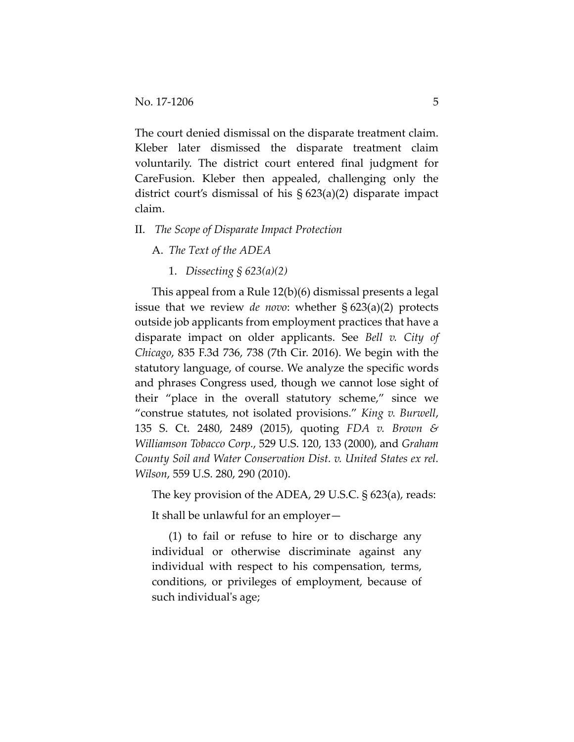The court denied dismissal on the disparate treatment claim. Kleber later dismissed the disparate treatment claim voluntarily. The district court entered final judgment for CareFusion. Kleber then appealed, challenging only the district court's dismissal of his § 623(a)(2) disparate impact claim.

# II. *The Scope of Disparate Impact Protection*

A. *The Text of the ADEA*

1. *Dissecting § 623(a)(2)*

This appeal from a Rule 12(b)(6) dismissal presents a legal issue that we review *de novo*: whether § 623(a)(2) protects outside job applicants from employment practices that have a disparate impact on older applicants. See *Bell v. City of Chicago*, 835 F.3d 736, 738 (7th Cir. 2016). We begin with the statutory language, of course. We analyze the specific words and phrases Congress used, though we cannot lose sight of their "place in the overall statutory scheme," since we "construe statutes, not isolated provisions." *King v. Burwell*, 135 S. Ct. 2480, 2489 (2015), quoting *FDA v. Brown & Williamson Tobacco Corp.*, 529 U.S. 120, 133 (2000), and *Graham County Soil and Water Conservation Dist. v. United States ex rel. Wilson*, 559 U.S. 280, 290 (2010).

The key provision of the ADEA, 29 U.S.C. § 623(a), reads:

It shall be unlawful for an employer—

(1) to fail or refuse to hire or to discharge any individual or otherwise discriminate against any individual with respect to his compensation, terms, conditions, or privileges of employment, because of such individual's age;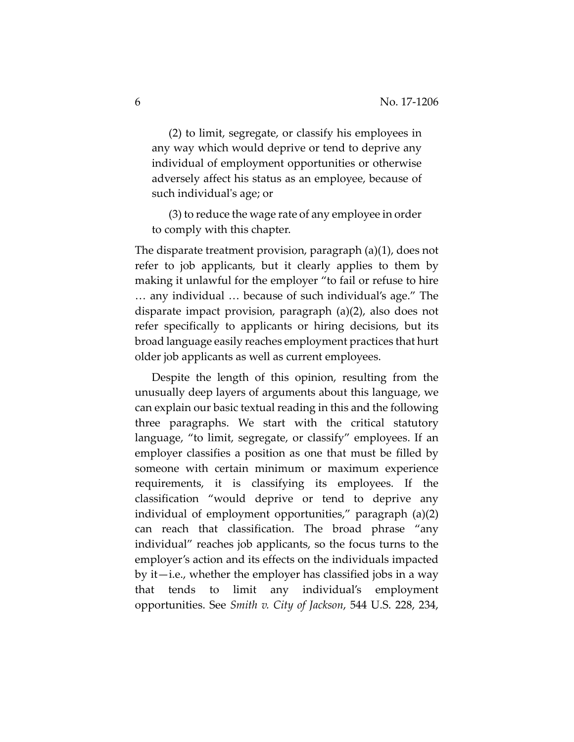(2) to limit, segregate, or classify his employees in any way which would deprive or tend to deprive any individual of employment opportunities or otherwise adversely affect his status as an employee, because of such individual's age; or

(3) to reduce the wage rate of any employee in order to comply with this chapter.

The disparate treatment provision, paragraph (a)(1), does not refer to job applicants, but it clearly applies to them by making it unlawful for the employer "to fail or refuse to hire … any individual … because of such individual's age." The disparate impact provision, paragraph (a)(2), also does not refer specifically to applicants or hiring decisions, but its broad language easily reaches employment practices that hurt older job applicants as well as current employees.

Despite the length of this opinion, resulting from the unusually deep layers of arguments about this language, we can explain our basic textual reading in this and the following three paragraphs. We start with the critical statutory language, "to limit, segregate, or classify" employees. If an employer classifies a position as one that must be filled by someone with certain minimum or maximum experience requirements, it is classifying its employees. If the classification "would deprive or tend to deprive any individual of employment opportunities," paragraph (a)(2) can reach that classification. The broad phrase "any individual" reaches job applicants, so the focus turns to the employer's action and its effects on the individuals impacted by it—i.e., whether the employer has classified jobs in a way that tends to limit any individual's employment opportunities. See *Smith v. City of Jackson*, 544 U.S. 228, 234,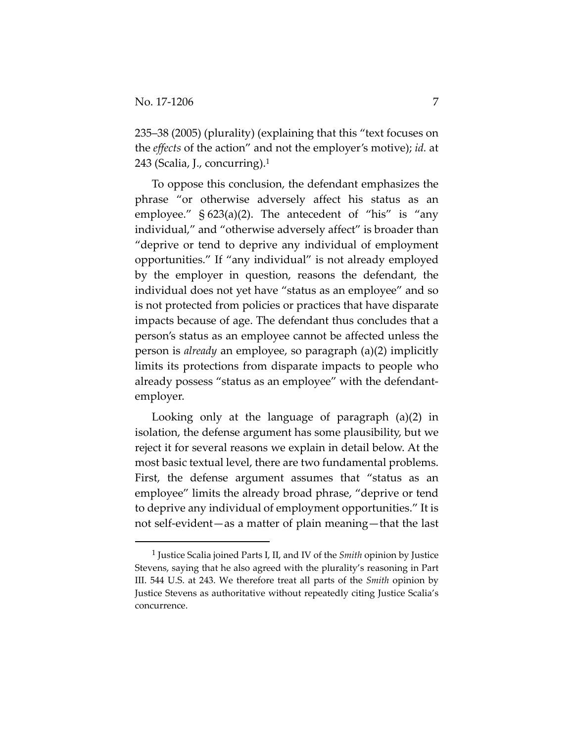235–38 (2005) (plurality) (explaining that this "text focuses on the *effects* of the action" and not the employer's motive); *id.* at 243 (Scalia, J., concurring).1

To oppose this conclusion, the defendant emphasizes the phrase "or otherwise adversely affect his status as an employee."  $\S 623(a)(2)$ . The antecedent of "his" is "any individual," and "otherwise adversely affect" is broader than "deprive or tend to deprive any individual of employment opportunities." If "any individual" is not already employed by the employer in question, reasons the defendant, the individual does not yet have "status as an employee" and so is not protected from policies or practices that have disparate impacts because of age. The defendant thus concludes that a person's status as an employee cannot be affected unless the person is *already* an employee, so paragraph (a)(2) implicitly limits its protections from disparate impacts to people who already possess "status as an employee" with the defendant‐ employer.

Looking only at the language of paragraph (a)(2) in isolation, the defense argument has some plausibility, but we reject it for several reasons we explain in detail below. At the most basic textual level, there are two fundamental problems. First, the defense argument assumes that "status as an employee" limits the already broad phrase, "deprive or tend to deprive any individual of employment opportunities." It is not self-evident—as a matter of plain meaning—that the last

<sup>1</sup> Justice Scalia joined Parts I, II, and IV of the *Smith* opinion by Justice Stevens, saying that he also agreed with the plurality's reasoning in Part III. 544 U.S. at 243. We therefore treat all parts of the *Smith* opinion by Justice Stevens as authoritative without repeatedly citing Justice Scalia's concurrence.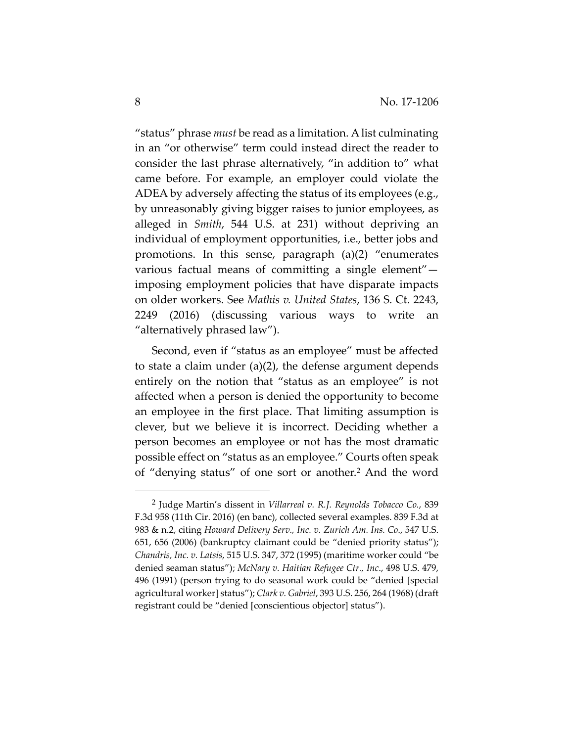"status" phrase *must* be read as a limitation. Alist culminating in an "or otherwise" term could instead direct the reader to consider the last phrase alternatively, "in addition to" what came before. For example, an employer could violate the ADEA by adversely affecting the status of its employees (e.g., by unreasonably giving bigger raises to junior employees, as alleged in *Smith*, 544 U.S. at 231) without depriving an individual of employment opportunities, i.e., better jobs and promotions. In this sense, paragraph (a)(2) "enumerates various factual means of committing a single element" imposing employment policies that have disparate impacts on older workers. See *Mathis v. United States*, 136 S. Ct. 2243, 2249 (2016) (discussing various ways to write an "alternatively phrased law").

Second, even if "status as an employee" must be affected to state a claim under (a)(2), the defense argument depends entirely on the notion that "status as an employee" is not affected when a person is denied the opportunity to become an employee in the first place. That limiting assumption is clever, but we believe it is incorrect. Deciding whether a person becomes an employee or not has the most dramatic possible effect on "status as an employee." Courts often speak of "denying status" of one sort or another.2 And the word

<sup>2</sup> Judge Martin's dissent in *Villarreal v. R.J. Reynolds Tobacco Co.*, 839 F.3d 958 (11th Cir. 2016) (en banc), collected several examples. 839 F.3d at 983 & n.2, citing *Howard Delivery Serv., Inc. v. Zurich Am. Ins. Co*., 547 U.S. 651, 656 (2006) (bankruptcy claimant could be "denied priority status"); *Chandris, Inc. v. Latsis*, 515 U.S. 347, 372 (1995) (maritime worker could "be denied seaman status"); *McNary v. Haitian Refugee Ctr., Inc*., 498 U.S. 479, 496 (1991) (person trying to do seasonal work could be "denied [special agricultural worker] status"); *Clark v. Gabriel*, 393 U.S. 256, 264 (1968) (draft registrant could be "denied [conscientious objector] status").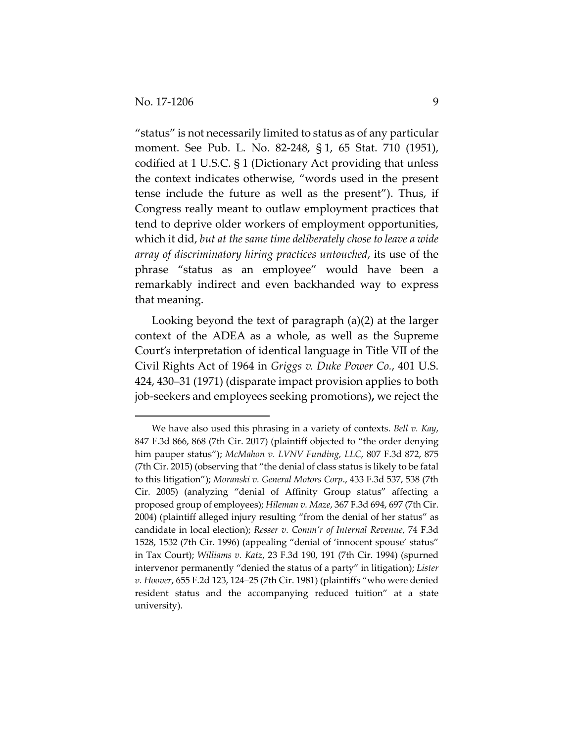"status" is not necessarily limited to status as of any particular moment. See Pub. L. No. 82‐248, § 1, 65 Stat. 710 (1951), codified at 1 U.S.C. § 1 (Dictionary Act providing that unless the context indicates otherwise, "words used in the present tense include the future as well as the present"). Thus, if Congress really meant to outlaw employment practices that tend to deprive older workers of employment opportunities, which it did, *but at the same time deliberately chose to leave a wide array of discriminatory hiring practices untouched*, its use of the phrase "status as an employee" would have been a remarkably indirect and even backhanded way to express that meaning.

Looking beyond the text of paragraph (a)(2) at the larger context of the ADEA as a whole, as well as the Supreme Court's interpretation of identical language in Title VII of the Civil Rights Act of 1964 in *Griggs v. Duke Power Co.*, 401 U.S. 424, 430–31 (1971) (disparate impact provision applies to both job‐seekers and employees seeking promotions)**,** we reject the

We have also used this phrasing in a variety of contexts. *Bell v. Kay*, 847 F.3d 866, 868 (7th Cir. 2017) (plaintiff objected to "the order denying him pauper status"); *McMahon v. LVNV Funding, LLC*, 807 F.3d 872, 875 (7th Cir. 2015) (observing that "the denial of class status is likely to be fatal to this litigation"); *Moranski v. General Motors Corp*., 433 F.3d 537, 538 (7th Cir. 2005) (analyzing "denial of Affinity Group status" affecting a proposed group of employees); *Hileman v. Maze*, 367 F.3d 694, 697 (7th Cir. 2004) (plaintiff alleged injury resulting "from the denial of her status" as candidate in local election); *Resser v. Comm'r of Internal Revenue*, 74 F.3d 1528, 1532 (7th Cir. 1996) (appealing "denial of 'innocent spouse' status" in Tax Court); *Williams v. Katz*, 23 F.3d 190, 191 (7th Cir. 1994) (spurned intervenor permanently "denied the status of a party" in litigation); *Lister v. Hoover*, 655 F.2d 123, 124–25 (7th Cir. 1981) (plaintiffs "who were denied resident status and the accompanying reduced tuition" at a state university).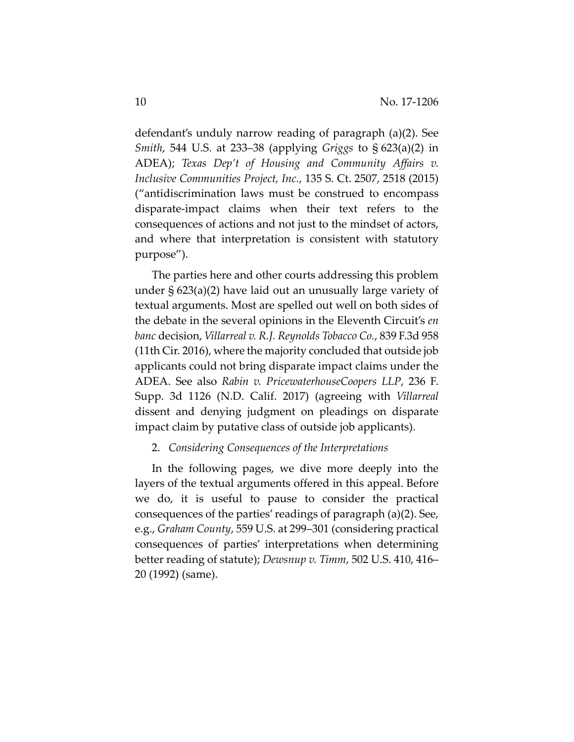defendant's unduly narrow reading of paragraph (a)(2). See *Smith*, 544 U.S. at 233–38 (applying *Griggs* to § 623(a)(2) in ADEA); *Texas Dep't of Housing and Community Affairs v. Inclusive Communities Project, Inc.*, 135 S. Ct. 2507, 2518 (2015) ("antidiscrimination laws must be construed to encompass disparate‐impact claims when their text refers to the consequences of actions and not just to the mindset of actors, and where that interpretation is consistent with statutory purpose").

The parties here and other courts addressing this problem under § 623(a)(2) have laid out an unusually large variety of textual arguments. Most are spelled out well on both sides of the debate in the several opinions in the Eleventh Circuit's *en banc* decision, *Villarreal v. R.J. Reynolds Tobacco Co.*, 839 F.3d 958 (11th Cir. 2016), where the majority concluded that outside job applicants could not bring disparate impact claims under the ADEA. See also *Rabin v. PricewaterhouseCoopers LLP*, 236 F. Supp. 3d 1126 (N.D. Calif. 2017) (agreeing with *Villarreal* dissent and denying judgment on pleadings on disparate impact claim by putative class of outside job applicants).

# 2. *Considering Consequences of the Interpretations*

In the following pages, we dive more deeply into the layers of the textual arguments offered in this appeal. Before we do, it is useful to pause to consider the practical consequences of the parties' readings of paragraph (a)(2). See, e.g., *Graham County*, 559 U.S. at 299–301 (considering practical consequences of parties' interpretations when determining better reading of statute); *Dewsnup v. Timm*, 502 U.S. 410, 416– 20 (1992) (same).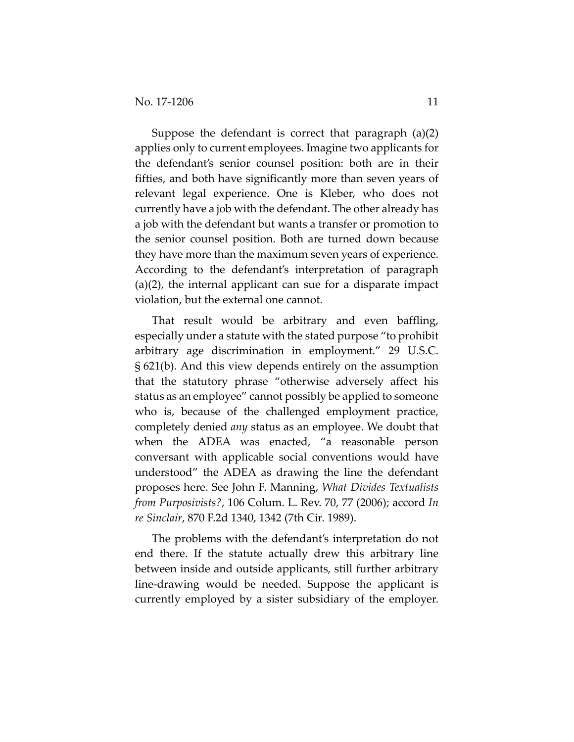Suppose the defendant is correct that paragraph (a)(2) applies only to current employees. Imagine two applicants for the defendant's senior counsel position: both are in their fifties, and both have significantly more than seven years of relevant legal experience. One is Kleber, who does not currently have a job with the defendant. The other already has a job with the defendant but wants a transfer or promotion to the senior counsel position. Both are turned down because they have more than the maximum seven years of experience. According to the defendant's interpretation of paragraph (a)(2), the internal applicant can sue for a disparate impact violation, but the external one cannot.

That result would be arbitrary and even baffling, especially under a statute with the stated purpose "to prohibit arbitrary age discrimination in employment." 29 U.S.C. § 621(b). And this view depends entirely on the assumption that the statutory phrase "otherwise adversely affect his status as an employee" cannot possibly be applied to someone who is, because of the challenged employment practice, completely denied *any* status as an employee. We doubt that when the ADEA was enacted, "a reasonable person conversant with applicable social conventions would have understood" the ADEA as drawing the line the defendant proposes here. See John F. Manning, *What Divides Textualists from Purposivists?*, 106 Colum. L. Rev. 70, 77 (2006); accord *In re Sinclair*, 870 F.2d 1340, 1342 (7th Cir. 1989).

The problems with the defendant's interpretation do not end there. If the statute actually drew this arbitrary line between inside and outside applicants, still further arbitrary line‐drawing would be needed. Suppose the applicant is currently employed by a sister subsidiary of the employer.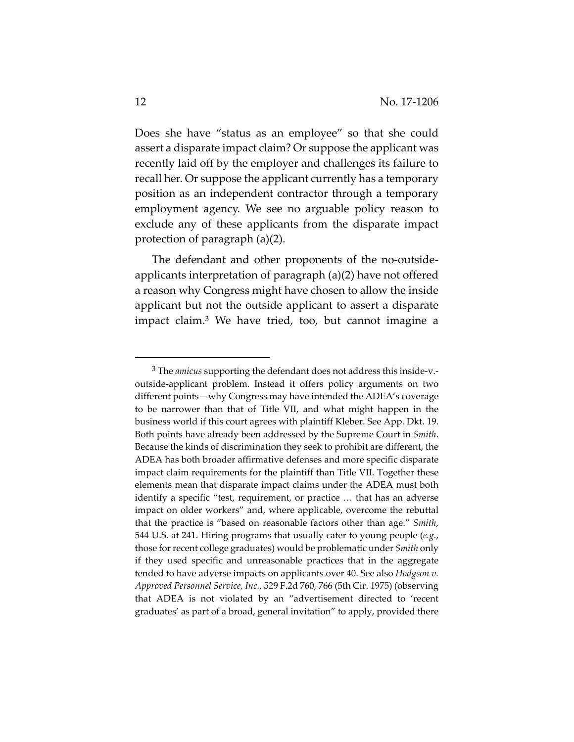Does she have "status as an employee" so that she could assert a disparate impact claim? Or suppose the applicant was recently laid off by the employer and challenges its failure to recall her. Or suppose the applicant currently has a temporary position as an independent contractor through a temporary employment agency. We see no arguable policy reason to exclude any of these applicants from the disparate impact protection of paragraph (a)(2).

The defendant and other proponents of the no-outsideapplicants interpretation of paragraph (a)(2) have not offered a reason why Congress might have chosen to allow the inside applicant but not the outside applicant to assert a disparate impact claim.3 We have tried, too, but cannot imagine a

<sup>3</sup> The *amicus* supporting the defendant does not address this inside‐v.‐ outside‐applicant problem. Instead it offers policy arguments on two different points—why Congress may have intended the ADEA's coverage to be narrower than that of Title VII, and what might happen in the business world if this court agrees with plaintiff Kleber. See App. Dkt. 19. Both points have already been addressed by the Supreme Court in *Smith*. Because the kinds of discrimination they seek to prohibit are different, the ADEA has both broader affirmative defenses and more specific disparate impact claim requirements for the plaintiff than Title VII. Together these elements mean that disparate impact claims under the ADEA must both identify a specific "test, requirement, or practice … that has an adverse impact on older workers" and, where applicable, overcome the rebuttal that the practice is "based on reasonable factors other than age." *Smith*, 544 U.S. at 241. Hiring programs that usually cater to young people (*e.g.*, those for recent college graduates) would be problematic under *Smith* only if they used specific and unreasonable practices that in the aggregate tended to have adverse impacts on applicants over 40. See also *Hodgson v. Approved Personnel Service, Inc.*, 529 F.2d 760, 766 (5th Cir. 1975) (observing that ADEA is not violated by an "advertisement directed to 'recent graduates' as part of a broad, general invitation" to apply, provided there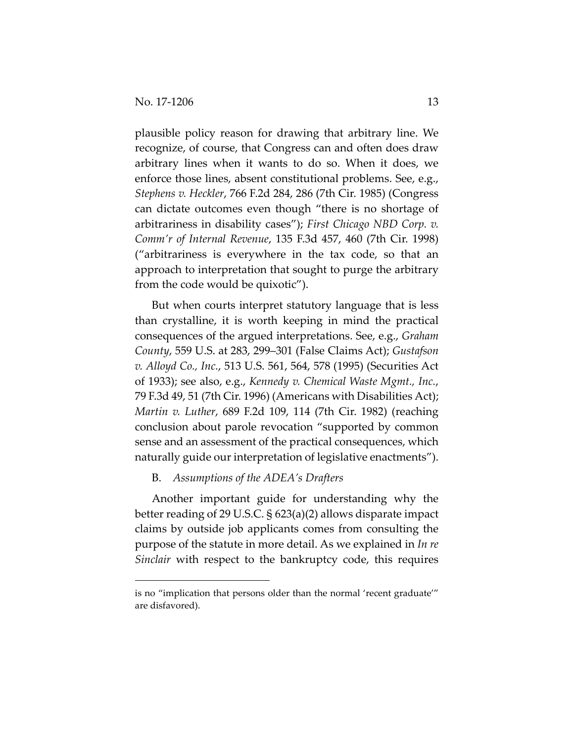plausible policy reason for drawing that arbitrary line. We recognize, of course, that Congress can and often does draw arbitrary lines when it wants to do so. When it does, we enforce those lines, absent constitutional problems. See, e.g., *Stephens v. Heckler*, 766 F.2d 284, 286 (7th Cir. 1985) (Congress can dictate outcomes even though "there is no shortage of arbitrariness in disability cases"); *First Chicago NBD Corp. v. Comm'r of Internal Revenue*, 135 F.3d 457, 460 (7th Cir. 1998) ("arbitrariness is everywhere in the tax code, so that an approach to interpretation that sought to purge the arbitrary from the code would be quixotic").

But when courts interpret statutory language that is less than crystalline, it is worth keeping in mind the practical consequences of the argued interpretations. See, e.g., *Graham County*, 559 U.S. at 283, 299–301 (False Claims Act); *Gustafson v. Alloyd Co., Inc.*, 513 U.S. 561, 564, 578 (1995) (Securities Act of 1933); see also, e.g., *Kennedy v. Chemical Waste Mgmt., Inc.*, 79 F.3d 49, 51 (7th Cir. 1996) (Americans with Disabilities Act); *Martin v. Luther*, 689 F.2d 109, 114 (7th Cir. 1982) (reaching conclusion about parole revocation "supported by common sense and an assessment of the practical consequences, which naturally guide our interpretation of legislative enactments").

# B. *Assumptions of the ADEA's Drafters*

Another important guide for understanding why the better reading of 29 U.S.C. § 623(a)(2) allows disparate impact claims by outside job applicants comes from consulting the purpose of the statute in more detail. As we explained in *In re Sinclair* with respect to the bankruptcy code, this requires

is no "implication that persons older than the normal 'recent graduate'" are disfavored).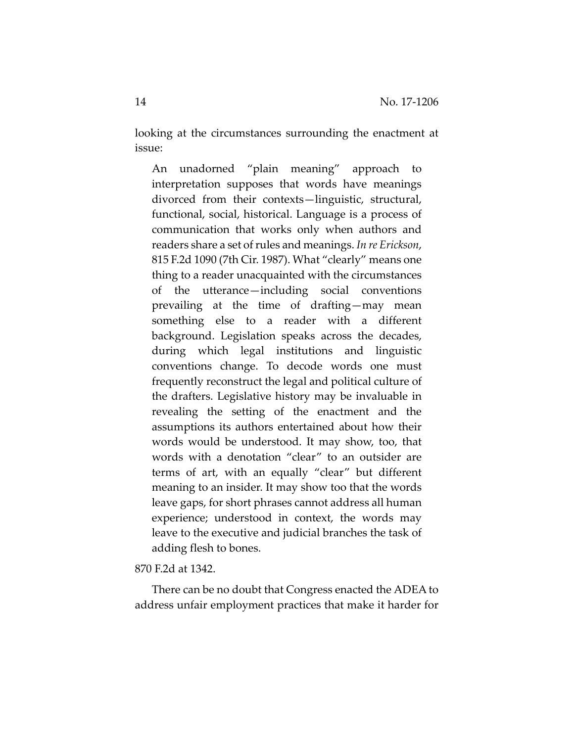looking at the circumstances surrounding the enactment at issue:

An unadorned "plain meaning" approach to interpretation supposes that words have meanings divorced from their contexts—linguistic, structural, functional, social, historical. Language is a process of communication that works only when authors and readers share a set ofrules and meanings. *In re Erickson*, 815 F.2d 1090 (7th Cir. 1987). What "clearly" means one thing to a reader unacquainted with the circumstances of the utterance—including social conventions prevailing at the time of drafting—may mean something else to a reader with a different background. Legislation speaks across the decades, during which legal institutions and linguistic conventions change. To decode words one must frequently reconstruct the legal and political culture of the drafters. Legislative history may be invaluable in revealing the setting of the enactment and the assumptions its authors entertained about how their words would be understood. It may show, too, that words with a denotation "clear" to an outsider are terms of art, with an equally "clear" but different meaning to an insider. It may show too that the words leave gaps, for short phrases cannot address all human experience; understood in context, the words may leave to the executive and judicial branches the task of adding flesh to bones.

#### 870 F.2d at 1342.

There can be no doubt that Congress enacted the ADEA to address unfair employment practices that make it harder for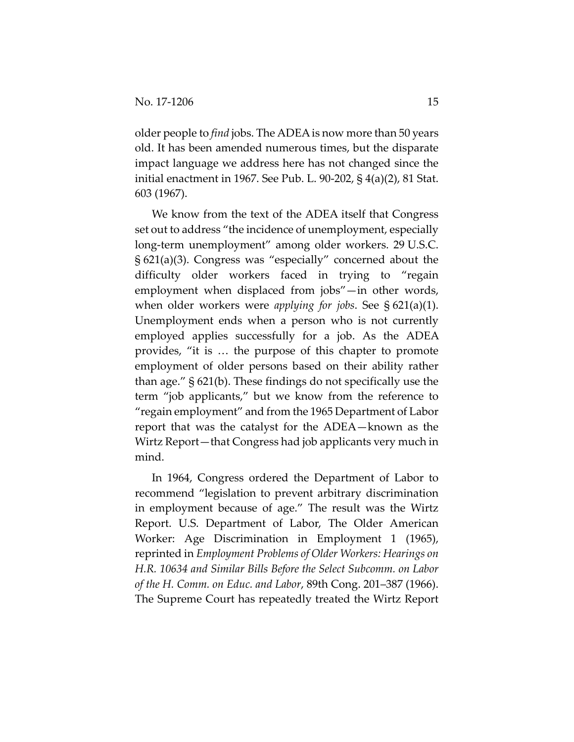older people to *find* jobs. The ADEA is now more than 50 years old. It has been amended numerous times, but the disparate impact language we address here has not changed since the initial enactment in 1967. See Pub. L. 90‐202, § 4(a)(2), 81 Stat. 603 (1967).

We know from the text of the ADEA itself that Congress set out to address "the incidence of unemployment, especially long‐term unemployment" among older workers. 29 U.S.C. § 621(a)(3). Congress was "especially" concerned about the difficulty older workers faced in trying to "regain employment when displaced from jobs"—in other words, when older workers were *applying for jobs*. See § 621(a)(1). Unemployment ends when a person who is not currently employed applies successfully for a job. As the ADEA provides, "it is … the purpose of this chapter to promote employment of older persons based on their ability rather than age." § 621(b). These findings do not specifically use the term "job applicants," but we know from the reference to "regain employment" and from the 1965 Department of Labor report that was the catalyst for the ADEA—known as the Wirtz Report—that Congress had job applicants very much in mind.

In 1964, Congress ordered the Department of Labor to recommend "legislation to prevent arbitrary discrimination in employment because of age." The result was the Wirtz Report. U.S. Department of Labor, The Older American Worker: Age Discrimination in Employment 1 (1965), reprinted in *Employment Problems of Older Workers: Hearings on H.R. 10634 and Similar Bills Before the Select Subcomm. on Labor of the H. Comm. on Educ. and Labor*, 89th Cong. 201–387 (1966). The Supreme Court has repeatedly treated the Wirtz Report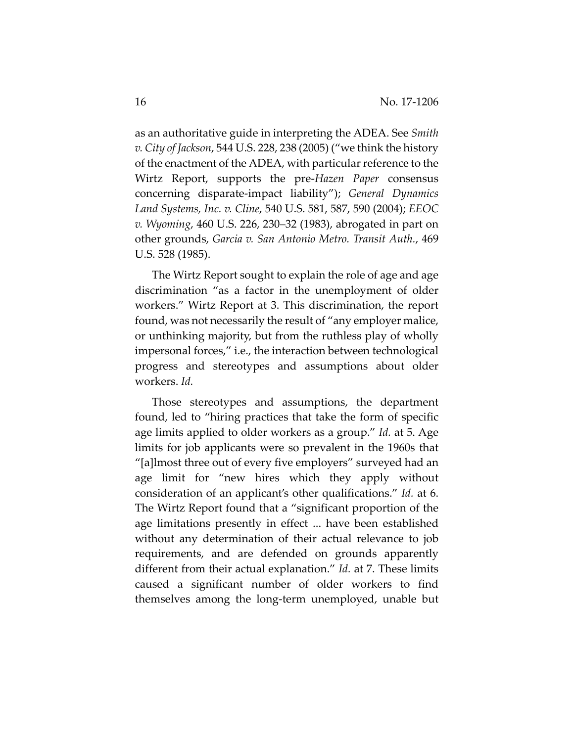as an authoritative guide in interpreting the ADEA. See *Smith v. City of Jackson*, 544 U.S. 228, 238 (2005) ("we think the history of the enactment of the ADEA, with particular reference to the Wirtz Report, supports the pre‐*Hazen Paper* consensus concerning disparate‐impact liability"); *General Dynamics Land Systems, Inc. v. Cline*, 540 U.S. 581, 587, 590 (2004); *EEOC v. Wyoming*, 460 U.S. 226, 230–32 (1983), abrogated in part on other grounds, *Garcia v. San Antonio Metro. Transit Auth.*, 469 U.S. 528 (1985).

The Wirtz Report sought to explain the role of age and age discrimination "as a factor in the unemployment of older workers." Wirtz Report at 3. This discrimination, the report found, was not necessarily the result of "any employer malice, or unthinking majority, but from the ruthless play of wholly impersonal forces," i.e., the interaction between technological progress and stereotypes and assumptions about older workers. *Id.*

Those stereotypes and assumptions, the department found, led to "hiring practices that take the form of specific age limits applied to older workers as a group." *Id.* at 5. Age limits for job applicants were so prevalent in the 1960s that "[a]lmost three out of every five employers" surveyed had an age limit for "new hires which they apply without consideration of an applicant's other qualifications." *Id.* at 6. The Wirtz Report found that a "significant proportion of the age limitations presently in effect ... have been established without any determination of their actual relevance to job requirements, and are defended on grounds apparently different from their actual explanation." *Id.* at 7. These limits caused a significant number of older workers to find themselves among the long‐term unemployed, unable but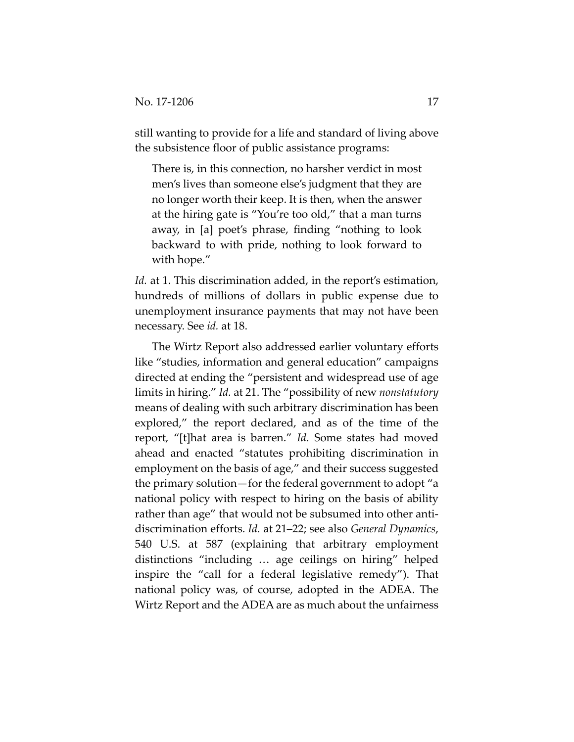still wanting to provide for a life and standard of living above the subsistence floor of public assistance programs:

There is, in this connection, no harsher verdict in most men's lives than someone else's judgment that they are no longer worth their keep. It is then, when the answer at the hiring gate is "You're too old," that a man turns away, in [a] poet's phrase, finding "nothing to look backward to with pride, nothing to look forward to with hope."

*Id.* at 1. This discrimination added, in the report's estimation, hundreds of millions of dollars in public expense due to unemployment insurance payments that may not have been necessary. See *id.* at 18.

The Wirtz Report also addressed earlier voluntary efforts like "studies, information and general education" campaigns directed at ending the "persistent and widespread use of age limits in hiring." *Id.* at 21. The "possibility of new *nonstatutory* means of dealing with such arbitrary discrimination has been explored," the report declared, and as of the time of the report, "[t]hat area is barren." *Id.* Some states had moved ahead and enacted "statutes prohibiting discrimination in employment on the basis of age," and their success suggested the primary solution—for the federal government to adopt "a national policy with respect to hiring on the basis of ability rather than age" that would not be subsumed into other anti‐ discrimination efforts. *Id.* at 21–22; see also *General Dynamics*, 540 U.S. at 587 (explaining that arbitrary employment distinctions "including … age ceilings on hiring" helped inspire the "call for a federal legislative remedy"). That national policy was, of course, adopted in the ADEA. The Wirtz Report and the ADEA are as much about the unfairness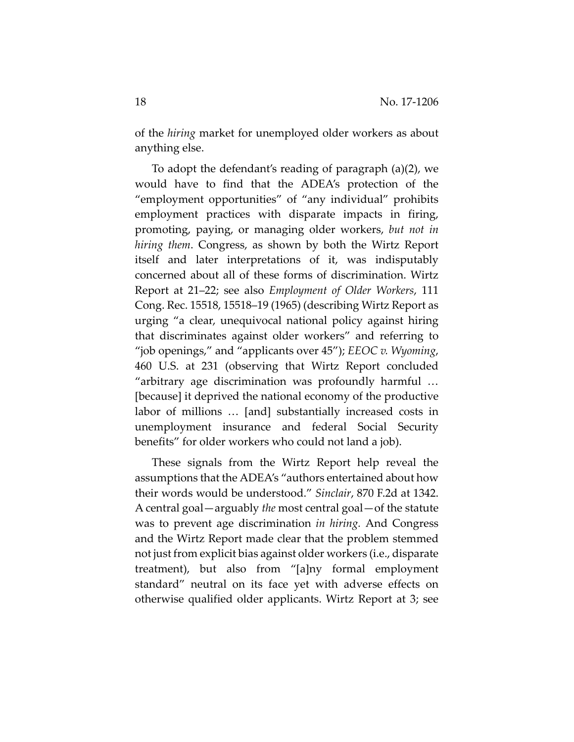of the *hiring* market for unemployed older workers as about anything else.

To adopt the defendant's reading of paragraph (a)(2), we would have to find that the ADEA's protection of the "employment opportunities" of "any individual" prohibits employment practices with disparate impacts in firing, promoting, paying, or managing older workers, *but not in hiring them*. Congress, as shown by both the Wirtz Report itself and later interpretations of it, was indisputably concerned about all of these forms of discrimination. Wirtz Report at 21–22; see also *Employment of Older Workers*, 111 Cong. Rec. 15518, 15518–19 (1965) (describing Wirtz Report as urging "a clear, unequivocal national policy against hiring that discriminates against older workers" and referring to "job openings," and "applicants over 45"); *EEOC v. Wyoming*, 460 U.S. at 231 (observing that Wirtz Report concluded "arbitrary age discrimination was profoundly harmful … [because] it deprived the national economy of the productive labor of millions … [and] substantially increased costs in unemployment insurance and federal Social Security benefits" for older workers who could not land a job).

These signals from the Wirtz Report help reveal the assumptions that the ADEA's "authors entertained about how their words would be understood." *Sinclair*, 870 F.2d at 1342. A central goal—arguably *the* most central goal—of the statute was to prevent age discrimination *in hiring.* And Congress and the Wirtz Report made clear that the problem stemmed not just from explicit bias against older workers (i.e., disparate treatment), but also from "[a]ny formal employment standard" neutral on its face yet with adverse effects on otherwise qualified older applicants. Wirtz Report at 3; see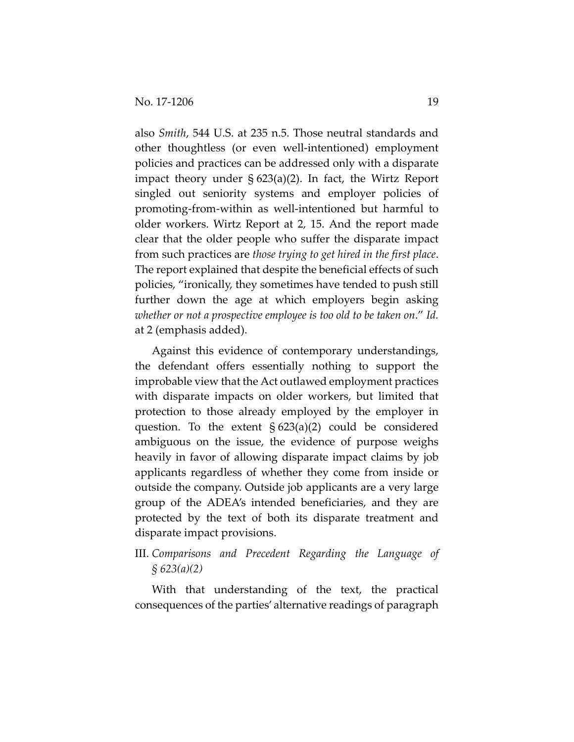also *Smith*, 544 U.S. at 235 n.5. Those neutral standards and other thoughtless (or even well‐intentioned) employment policies and practices can be addressed only with a disparate impact theory under § 623(a)(2). In fact, the Wirtz Report singled out seniority systems and employer policies of promoting‐from‐within as well‐intentioned but harmful to older workers. Wirtz Report at 2, 15. And the report made clear that the older people who suffer the disparate impact from such practices are *those trying to get hired in the first place*. The report explained that despite the beneficial effects of such policies, "ironically, they sometimes have tended to push still further down the age at which employers begin asking *whether or not a prospective employee is too old to be taken on*." *Id.* at 2 (emphasis added).

Against this evidence of contemporary understandings, the defendant offers essentially nothing to support the improbable view that the Act outlawed employment practices with disparate impacts on older workers, but limited that protection to those already employed by the employer in question. To the extent  $\S 623(a)(2)$  could be considered ambiguous on the issue, the evidence of purpose weighs heavily in favor of allowing disparate impact claims by job applicants regardless of whether they come from inside or outside the company. Outside job applicants are a very large group of the ADEA's intended beneficiaries, and they are protected by the text of both its disparate treatment and disparate impact provisions.

# III. *Comparisons and Precedent Regarding the Language of § 623(a)(2)*

With that understanding of the text, the practical consequences of the parties' alternative readings of paragraph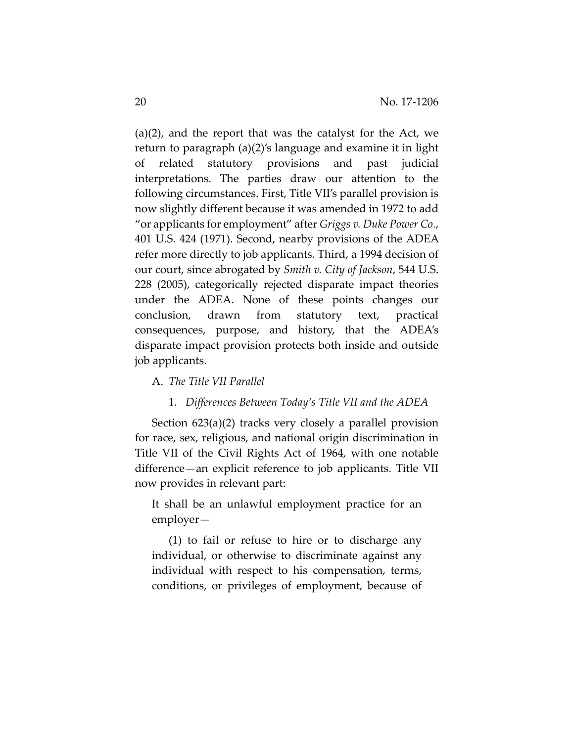(a)(2), and the report that was the catalyst for the Act, we return to paragraph (a)(2)'s language and examine it in light of related statutory provisions and past judicial interpretations. The parties draw our attention to the following circumstances. First, Title VII's parallel provision is now slightly different because it was amended in 1972 to add "or applicants for employment" after *Griggs v. Duke Power Co.*, 401 U.S. 424 (1971). Second, nearby provisions of the ADEA refer more directly to job applicants. Third, a 1994 decision of our court, since abrogated by *Smith v. City of Jackson*, 544 U.S. 228 (2005), categorically rejected disparate impact theories under the ADEA. None of these points changes our conclusion, drawn from statutory text, practical consequences, purpose, and history, that the ADEA's disparate impact provision protects both inside and outside job applicants.

# A. *The Title VII Parallel*

# 1. *Differences Between Today's Title VII and the ADEA*

Section 623(a)(2) tracks very closely a parallel provision for race, sex, religious, and national origin discrimination in Title VII of the Civil Rights Act of 1964, with one notable difference—an explicit reference to job applicants. Title VII now provides in relevant part:

It shall be an unlawful employment practice for an employer—

(1) to fail or refuse to hire or to discharge any individual, or otherwise to discriminate against any individual with respect to his compensation, terms, conditions, or privileges of employment, because of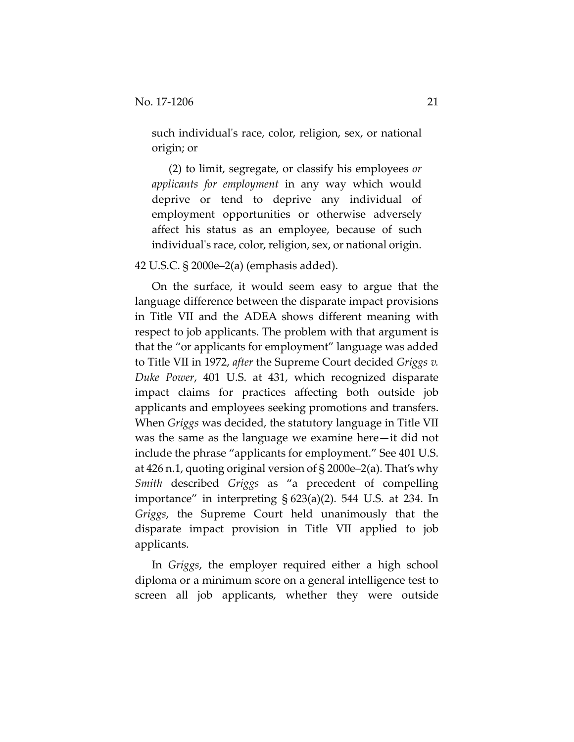such individual's race, color, religion, sex, or national origin; or

(2) to limit, segregate, or classify his employees *or applicants for employment* in any way which would deprive or tend to deprive any individual of employment opportunities or otherwise adversely affect his status as an employee, because of such individual's race, color, religion, sex, or national origin.

# 42 U.S.C. § 2000e–2(a) (emphasis added).

On the surface, it would seem easy to argue that the language difference between the disparate impact provisions in Title VII and the ADEA shows different meaning with respect to job applicants. The problem with that argument is that the "or applicants for employment" language was added to Title VII in 1972, *after* the Supreme Court decided *Griggs v. Duke Power*, 401 U.S. at 431, which recognized disparate impact claims for practices affecting both outside job applicants and employees seeking promotions and transfers. When *Griggs* was decided, the statutory language in Title VII was the same as the language we examine here—it did not include the phrase "applicants for employment." See 401 U.S. at 426 n.1, quoting original version of § 2000e–2(a). That's why *Smith* described *Griggs* as "a precedent of compelling importance" in interpreting § 623(a)(2). 544 U.S. at 234. In *Griggs*, the Supreme Court held unanimously that the disparate impact provision in Title VII applied to job applicants.

In *Griggs*, the employer required either a high school diploma or a minimum score on a general intelligence test to screen all job applicants, whether they were outside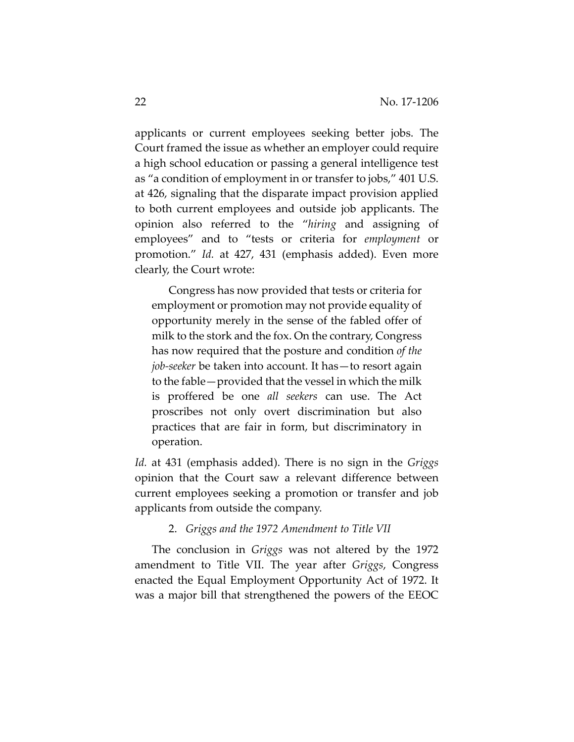applicants or current employees seeking better jobs. The Court framed the issue as whether an employer could require a high school education or passing a general intelligence test as "a condition of employment in or transfer to jobs," 401 U.S. at 426, signaling that the disparate impact provision applied to both current employees and outside job applicants. The opinion also referred to the "*hiring* and assigning of employees" and to "tests or criteria for *employment* or promotion." *Id.* at 427, 431 (emphasis added). Even more clearly, the Court wrote:

Congress has now provided that tests or criteria for employment or promotion may not provide equality of opportunity merely in the sense of the fabled offer of milk to the stork and the fox. On the contrary, Congress has now required that the posture and condition *of the job‐seeker* be taken into account. It has—to resort again to the fable—provided that the vessel in which the milk is proffered be one *all seekers* can use. The Act proscribes not only overt discrimination but also practices that are fair in form, but discriminatory in operation.

*Id.* at 431 (emphasis added). There is no sign in the *Griggs* opinion that the Court saw a relevant difference between current employees seeking a promotion or transfer and job applicants from outside the company.

#### 2. *Griggs and the 1972 Amendment to Title VII*

The conclusion in *Griggs* was not altered by the 1972 amendment to Title VII. The year after *Griggs*, Congress enacted the Equal Employment Opportunity Act of 1972. It was a major bill that strengthened the powers of the EEOC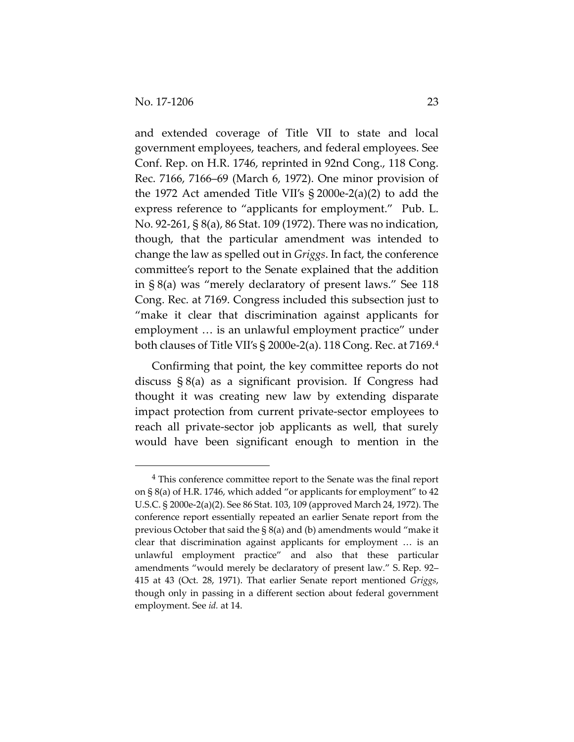and extended coverage of Title VII to state and local government employees, teachers, and federal employees. See Conf. Rep. on H.R. 1746, reprinted in 92nd Cong., 118 Cong. Rec. 7166, 7166–69 (March 6, 1972). One minor provision of the 1972 Act amended Title VII's § 2000e‐2(a)(2) to add the express reference to "applicants for employment." Pub. L. No. 92‐261, § 8(a), 86 Stat. 109 (1972). There was no indication, though, that the particular amendment was intended to change the law as spelled out in *Griggs*. In fact, the conference committee's report to the Senate explained that the addition in § 8(a) was "merely declaratory of present laws." See 118 Cong. Rec. at 7169. Congress included this subsection just to "make it clear that discrimination against applicants for employment … is an unlawful employment practice" under both clauses of Title VII's § 2000e‐2(a). 118 Cong. Rec. at 7169.4

Confirming that point, the key committee reports do not discuss § 8(a) as a significant provision. If Congress had thought it was creating new law by extending disparate impact protection from current private‐sector employees to reach all private‐sector job applicants as well, that surely would have been significant enough to mention in the

<sup>4</sup> This conference committee report to the Senate was the final report on § 8(a) of H.R. 1746, which added "or applicants for employment" to 42 U.S.C. § 2000e‐2(a)(2). See 86 Stat. 103, 109 (approved March 24, 1972). The conference report essentially repeated an earlier Senate report from the previous October that said the § 8(a) and (b) amendments would "make it clear that discrimination against applicants for employment … is an unlawful employment practice" and also that these particular amendments "would merely be declaratory of present law." S. Rep. 92– 415 at 43 (Oct. 28, 1971). That earlier Senate report mentioned *Griggs*, though only in passing in a different section about federal government employment. See *id.* at 14.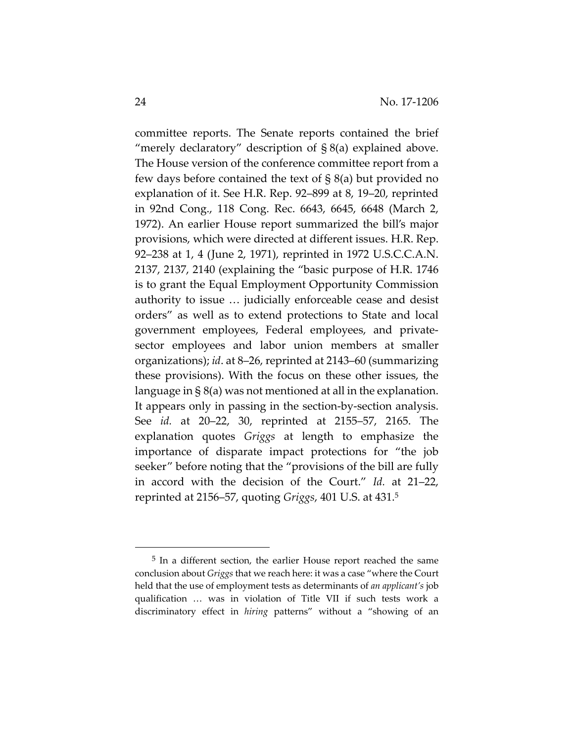committee reports. The Senate reports contained the brief "merely declaratory" description of  $\S 8(a)$  explained above. The House version of the conference committee report from a few days before contained the text of § 8(a) but provided no explanation of it. See H.R. Rep. 92–899 at 8, 19–20, reprinted in 92nd Cong., 118 Cong. Rec. 6643, 6645, 6648 (March 2, 1972). An earlier House report summarized the bill's major provisions, which were directed at different issues. H.R. Rep. 92–238 at 1, 4 (June 2, 1971), reprinted in 1972 U.S.C.C.A.N. 2137, 2137, 2140 (explaining the "basic purpose of H.R. 1746 is to grant the Equal Employment Opportunity Commission authority to issue … judicially enforceable cease and desist orders" as well as to extend protections to State and local government employees, Federal employees, and private‐ sector employees and labor union members at smaller organizations); *id*. at 8–26, reprinted at 2143–60 (summarizing these provisions). With the focus on these other issues, the language in § 8(a) was not mentioned at all in the explanation. It appears only in passing in the section‐by‐section analysis. See *id.* at 20–22, 30, reprinted at 2155–57, 2165. The explanation quotes *Griggs* at length to emphasize the importance of disparate impact protections for "the job seeker" before noting that the "provisions of the bill are fully in accord with the decision of the Court." *Id.* at 21–22, reprinted at 2156–57, quoting *Griggs*, 401 U.S. at 431.5

<sup>5</sup> In a different section, the earlier House report reached the same conclusion about *Griggs* that we reach here: it was a case "where the Court held that the use of employment tests as determinants of *an applicant's* job qualification … was in violation of Title VII if such tests work a discriminatory effect in *hiring* patterns" without a "showing of an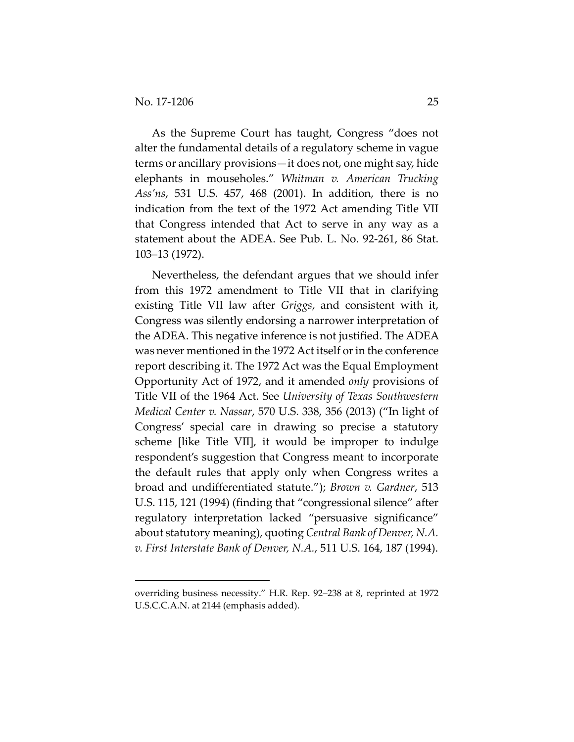As the Supreme Court has taught, Congress "does not alter the fundamental details of a regulatory scheme in vague terms or ancillary provisions—it does not, one might say, hide elephants in mouseholes." *Whitman v. American Trucking Ass'ns*, 531 U.S. 457, 468 (2001). In addition, there is no indication from the text of the 1972 Act amending Title VII that Congress intended that Act to serve in any way as a statement about the ADEA. See Pub. L. No. 92‐261, 86 Stat. 103–13 (1972).

Nevertheless, the defendant argues that we should infer from this 1972 amendment to Title VII that in clarifying existing Title VII law after *Griggs*, and consistent with it, Congress was silently endorsing a narrower interpretation of the ADEA. This negative inference is not justified. The ADEA was never mentioned in the 1972 Act itself or in the conference report describing it. The 1972 Act was the Equal Employment Opportunity Act of 1972, and it amended *only* provisions of Title VII of the 1964 Act. See *University of Texas Southwestern Medical Center v. Nassar*, 570 U.S. 338, 356 (2013) ("In light of Congress' special care in drawing so precise a statutory scheme [like Title VII], it would be improper to indulge respondent's suggestion that Congress meant to incorporate the default rules that apply only when Congress writes a broad and undifferentiated statute."); *Brown v. Gardner*, 513 U.S. 115, 121 (1994) (finding that "congressional silence" after regulatory interpretation lacked "persuasive significance" about statutory meaning), quoting *Central Bank of Denver, N.A. v. First Interstate Bank of Denver, N.A.*, 511 U.S. 164, 187 (1994).

overriding business necessity." H.R. Rep. 92–238 at 8, reprinted at 1972 U.S.C.C.A.N. at 2144 (emphasis added).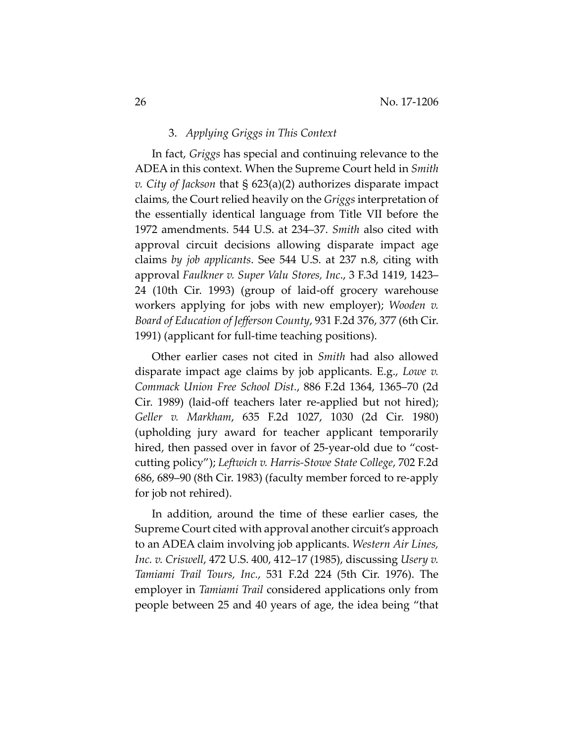#### 3. *Applying Griggs in This Context*

In fact, *Griggs* has special and continuing relevance to the ADEA in this context. When the Supreme Court held in *Smith v. City of Jackson* that § 623(a)(2) authorizes disparate impact claims, the Court relied heavily on the *Griggs* interpretation of the essentially identical language from Title VII before the 1972 amendments. 544 U.S. at 234–37. *Smith* also cited with approval circuit decisions allowing disparate impact age claims *by job applicants*. See 544 U.S. at 237 n.8, citing with approval *Faulkner v. Super Valu Stores, Inc*., 3 F.3d 1419, 1423– 24 (10th Cir. 1993) (group of laid‐off grocery warehouse workers applying for jobs with new employer); *Wooden v. Board of Education of Jefferson County*, 931 F.2d 376, 377 (6th Cir. 1991) (applicant for full‐time teaching positions).

Other earlier cases not cited in *Smith* had also allowed disparate impact age claims by job applicants. E.g., *Lowe v. Commack Union Free School Dist.*, 886 F.2d 1364, 1365–70 (2d Cir. 1989) (laid‐off teachers later re‐applied but not hired); *Geller v. Markham*, 635 F.2d 1027, 1030 (2d Cir. 1980) (upholding jury award for teacher applicant temporarily hired, then passed over in favor of 25-year-old due to "costcutting policy"); *Leftwich v. Harris‐Stowe State College*, 702 F.2d 686, 689–90 (8th Cir. 1983) (faculty member forced to re‐apply for job not rehired).

In addition, around the time of these earlier cases, the Supreme Court cited with approval another circuit's approach to an ADEA claim involving job applicants. *Western Air Lines, Inc. v. Criswell*, 472 U.S. 400, 412–17 (1985), discussing *Usery v. Tamiami Trail Tours, Inc.*, 531 F.2d 224 (5th Cir. 1976). The employer in *Tamiami Trail* considered applications only from people between 25 and 40 years of age, the idea being "that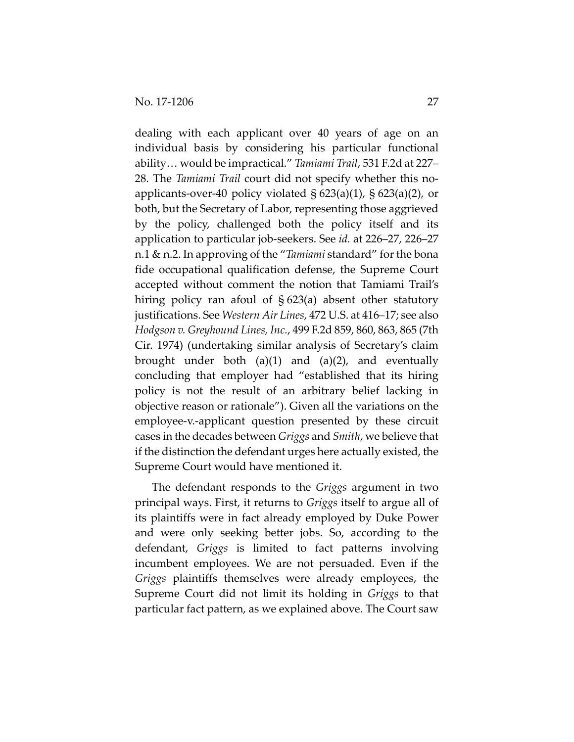dealing with each applicant over 40 years of age on an individual basis by considering his particular functional ability… would be impractical." *Tamiami Trail*, 531 F.2d at 227– 28. The *Tamiami Trail* court did not specify whether this no‐ applicants-over-40 policy violated  $\S 623(a)(1)$ ,  $\S 623(a)(2)$ , or both, but the Secretary of Labor, representing those aggrieved by the policy, challenged both the policy itself and its application to particular job‐seekers. See *id.* at 226–27, 226–27 n.1 & n.2. In approving of the "*Tamiami* standard" for the bona fide occupational qualification defense, the Supreme Court accepted without comment the notion that Tamiami Trail's hiring policy ran afoul of  $\S 623(a)$  absent other statutory justifications. See *Western Air Lines*, 472 U.S. at 416–17; see also *Hodgson v. Greyhound Lines, Inc.*, 499 F.2d 859, 860, 863, 865 (7th Cir. 1974) (undertaking similar analysis of Secretary's claim brought under both  $(a)(1)$  and  $(a)(2)$ , and eventually concluding that employer had "established that its hiring policy is not the result of an arbitrary belief lacking in objective reason or rationale"). Given all the variations on the employee‐v.‐applicant question presented by these circuit cases in the decades between *Griggs* and *Smith*, we believe that if the distinction the defendant urges here actually existed, the Supreme Court would have mentioned it.

The defendant responds to the *Griggs* argument in two principal ways. First, it returns to *Griggs* itself to argue all of its plaintiffs were in fact already employed by Duke Power and were only seeking better jobs. So, according to the defendant, *Griggs* is limited to fact patterns involving incumbent employees. We are not persuaded. Even if the *Griggs* plaintiffs themselves were already employees, the Supreme Court did not limit its holding in *Griggs* to that particular fact pattern, as we explained above. The Court saw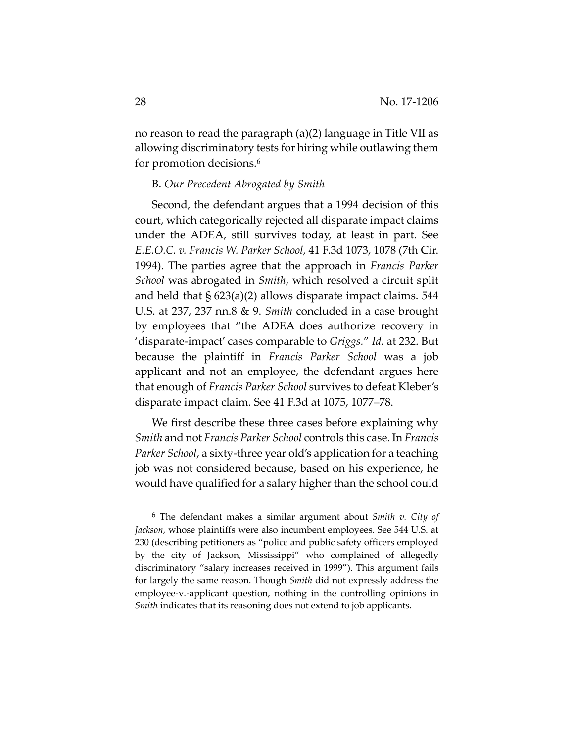no reason to read the paragraph (a)(2) language in Title VII as allowing discriminatory tests for hiring while outlawing them for promotion decisions.6

#### B. *Our Precedent Abrogated by Smith*

Second, the defendant argues that a 1994 decision of this court, which categorically rejected all disparate impact claims under the ADEA, still survives today, at least in part. See *E.E.O.C. v. Francis W. Parker School*, 41 F.3d 1073, 1078 (7th Cir. 1994). The parties agree that the approach in *Francis Parker School* was abrogated in *Smith*, which resolved a circuit split and held that  $\S$  623(a)(2) allows disparate impact claims. 544 U.S. at 237, 237 nn.8 & 9. *Smith* concluded in a case brought by employees that "the ADEA does authorize recovery in 'disparate‐impact' cases comparable to *Griggs.*" *Id.* at 232. But because the plaintiff in *Francis Parker School* was a job applicant and not an employee, the defendant argues here that enough of *Francis Parker School* survives to defeat Kleber's disparate impact claim. See 41 F.3d at 1075, 1077–78.

We first describe these three cases before explaining why *Smith* and not *Francis Parker School* controls this case. In *Francis Parker School*, a sixty‐three year old's application for a teaching job was not considered because, based on his experience, he would have qualified for a salary higher than the school could

<sup>6</sup> The defendant makes a similar argument about *Smith v. City of Jackson*, whose plaintiffs were also incumbent employees. See 544 U.S. at 230 (describing petitioners as "police and public safety officers employed by the city of Jackson, Mississippi" who complained of allegedly discriminatory "salary increases received in 1999"). This argument fails for largely the same reason. Though *Smith* did not expressly address the employee-v.-applicant question, nothing in the controlling opinions in *Smith* indicates that its reasoning does not extend to job applicants.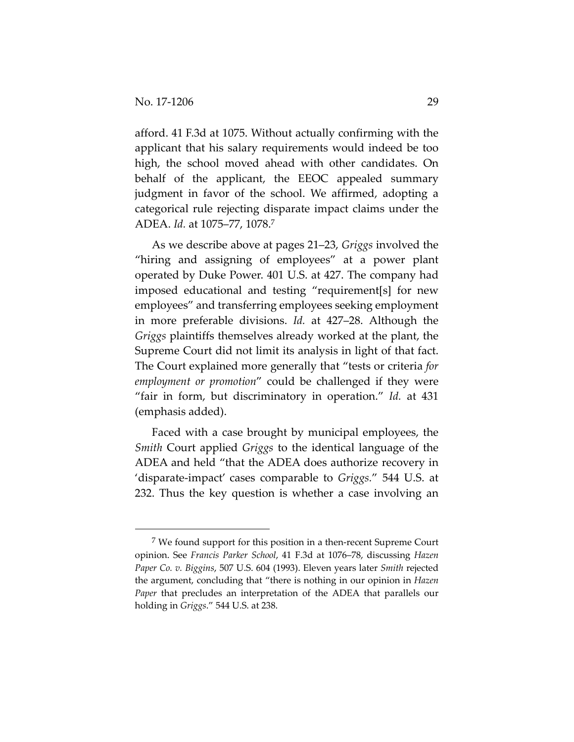afford. 41 F.3d at 1075. Without actually confirming with the applicant that his salary requirements would indeed be too high, the school moved ahead with other candidates. On behalf of the applicant, the EEOC appealed summary judgment in favor of the school. We affirmed, adopting a categorical rule rejecting disparate impact claims under the ADEA. *Id.* at 1075–77, 1078.7

As we describe above at pages 21–23, *Griggs* involved the "hiring and assigning of employees" at a power plant operated by Duke Power. 401 U.S. at 427. The company had imposed educational and testing "requirement[s] for new employees" and transferring employees seeking employment in more preferable divisions. *Id.* at 427–28. Although the *Griggs* plaintiffs themselves already worked at the plant, the Supreme Court did not limit its analysis in light of that fact. The Court explained more generally that "tests or criteria *for employment or promotion*" could be challenged if they were "fair in form, but discriminatory in operation." *Id.* at 431 (emphasis added).

Faced with a case brought by municipal employees, the *Smith* Court applied *Griggs* to the identical language of the ADEA and held "that the ADEA does authorize recovery in 'disparate‐impact' cases comparable to *Griggs.*" 544 U.S. at 232. Thus the key question is whether a case involving an

 $7$  We found support for this position in a then-recent Supreme Court opinion. See *Francis Parker School*, 41 F.3d at 1076–78, discussing *Hazen Paper Co. v. Biggins*, 507 U.S. 604 (1993). Eleven years later *Smith* rejected the argument, concluding that "there is nothing in our opinion in *Hazen Paper* that precludes an interpretation of the ADEA that parallels our holding in *Griggs*." 544 U.S. at 238.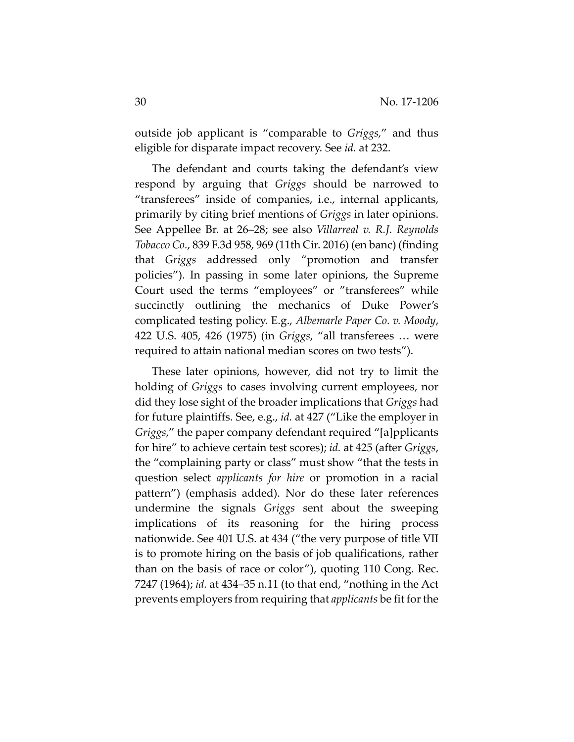outside job applicant is "comparable to *Griggs,*" and thus eligible for disparate impact recovery. See *id.* at 232.

The defendant and courts taking the defendant's view respond by arguing that *Griggs* should be narrowed to "transferees" inside of companies, i.e., internal applicants, primarily by citing brief mentions of *Griggs* in later opinions. See Appellee Br. at 26–28; see also *Villarreal v. R.J. Reynolds Tobacco Co.*, 839 F.3d 958, 969 (11th Cir. 2016) (en banc) (finding that *Griggs* addressed only "promotion and transfer policies"). In passing in some later opinions, the Supreme Court used the terms "employees" or "transferees" while succinctly outlining the mechanics of Duke Power's complicated testing policy. E.g., *Albemarle Paper Co. v. Moody*, 422 U.S. 405, 426 (1975) (in *Griggs*, "all transferees … were required to attain national median scores on two tests").

These later opinions, however, did not try to limit the holding of *Griggs* to cases involving current employees, nor did they lose sight of the broader implications that *Griggs* had for future plaintiffs. See, e.g., *id.* at 427 ("Like the employer in *Griggs*," the paper company defendant required "[a]pplicants for hire" to achieve certain test scores); *id.* at 425 (after *Griggs*, the "complaining party or class" must show "that the tests in question select *applicants for hire* or promotion in a racial pattern") (emphasis added). Nor do these later references undermine the signals *Griggs* sent about the sweeping implications of its reasoning for the hiring process nationwide. See 401 U.S. at 434 ("the very purpose of title VII is to promote hiring on the basis of job qualifications, rather than on the basis of race or color"), quoting 110 Cong. Rec. 7247 (1964); *id.* at 434–35 n.11 (to that end, "nothing in the Act prevents employers from requiring that *applicants* be fit forthe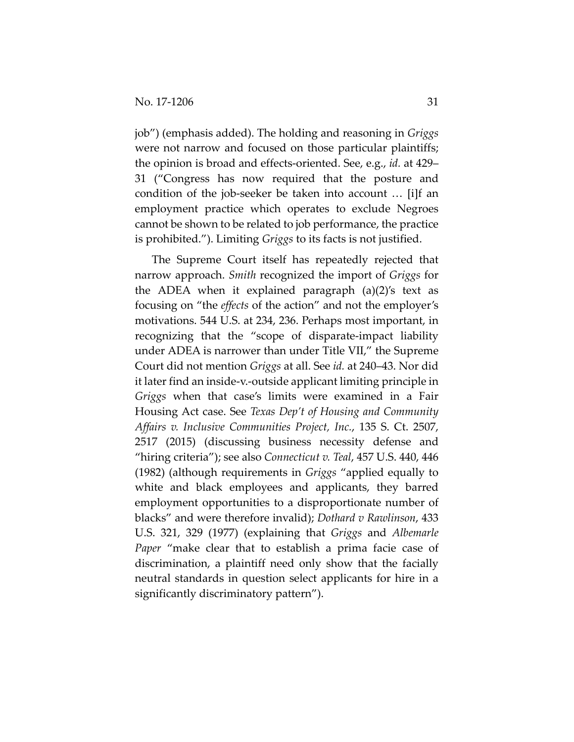job") (emphasis added). The holding and reasoning in *Griggs* were not narrow and focused on those particular plaintiffs; the opinion is broad and effects‐oriented. See, e.g., *id.* at 429– 31 ("Congress has now required that the posture and condition of the job‐seeker be taken into account … [i]f an employment practice which operates to exclude Negroes cannot be shown to be related to job performance, the practice is prohibited."). Limiting *Griggs* to its facts is not justified.

The Supreme Court itself has repeatedly rejected that narrow approach. *Smith* recognized the import of *Griggs* for the ADEA when it explained paragraph  $(a)(2)$ 's text as focusing on "the *effects* of the action" and not the employer's motivations. 544 U.S. at 234, 236. Perhaps most important, in recognizing that the "scope of disparate‐impact liability under ADEA is narrower than under Title VII," the Supreme Court did not mention *Griggs* at all. See *id.* at 240–43. Nor did it later find an inside‐v.‐outside applicant limiting principle in *Griggs* when that case's limits were examined in a Fair Housing Act case. See *Texas Dep't of Housing and Community Affairs v. Inclusive Communities Project, Inc.*, 135 S. Ct. 2507, 2517 (2015) (discussing business necessity defense and "hiring criteria"); see also *Connecticut v. Teal*, 457 U.S. 440, 446 (1982) (although requirements in *Griggs* "applied equally to white and black employees and applicants, they barred employment opportunities to a disproportionate number of blacks" and were therefore invalid); *Dothard v Rawlinson*, 433 U.S. 321, 329 (1977) (explaining that *Griggs* and *Albemarle Paper* "make clear that to establish a prima facie case of discrimination, a plaintiff need only show that the facially neutral standards in question select applicants for hire in a significantly discriminatory pattern").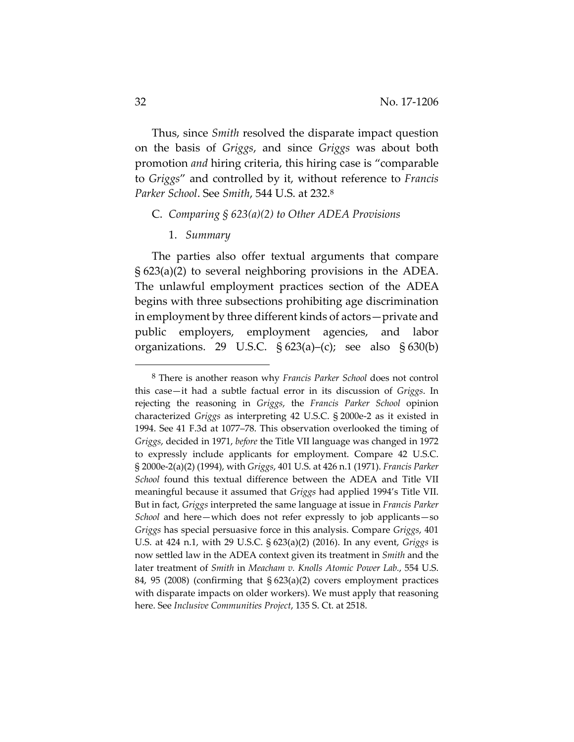Thus, since *Smith* resolved the disparate impact question on the basis of *Griggs*, and since *Griggs* was about both promotion *and* hiring criteria, this hiring case is "comparable to *Griggs*" and controlled by it, without reference to *Francis Parker School*. See *Smith*, 544 U.S. at 232.8

#### C. *Comparing § 623(a)(2) to Other ADEA Provisions*

# 1. *Summary*

The parties also offer textual arguments that compare § 623(a)(2) to several neighboring provisions in the ADEA. The unlawful employment practices section of the ADEA begins with three subsections prohibiting age discrimination in employment by three different kinds of actors—private and public employers, employment agencies, and labor organizations. 29 U.S.C.  $\S 623(a)$ –(c); see also  $\S 630(b)$ 

<sup>8</sup> There is another reason why *Francis Parker School* does not control this case—it had a subtle factual error in its discussion of *Griggs*. In rejecting the reasoning in *Griggs*, the *Francis Parker School* opinion characterized *Griggs* as interpreting 42 U.S.C. § 2000e‐2 as it existed in 1994. See 41 F.3d at 1077–78. This observation overlooked the timing of *Griggs*, decided in 1971, *before* the Title VII language was changed in 1972 to expressly include applicants for employment. Compare 42 U.S.C. § 2000e‐2(a)(2) (1994), with *Griggs*, 401 U.S. at 426 n.1 (1971). *Francis Parker School* found this textual difference between the ADEA and Title VII meaningful because it assumed that *Griggs* had applied 1994's Title VII. But in fact, *Griggs* interpreted the same language at issue in *Francis Parker School* and here—which does not refer expressly to job applicants—so *Griggs* has special persuasive force in this analysis. Compare *Griggs*, 401 U.S. at 424 n.1, with 29 U.S.C. § 623(a)(2) (2016). In any event, *Griggs* is now settled law in the ADEA context given its treatment in *Smith* and the later treatment of *Smith* in *Meacham v. Knolls Atomic Power Lab.*, 554 U.S. 84, 95 (2008) (confirming that § 623(a)(2) covers employment practices with disparate impacts on older workers). We must apply that reasoning here. See *Inclusive Communities Project*, 135 S. Ct. at 2518.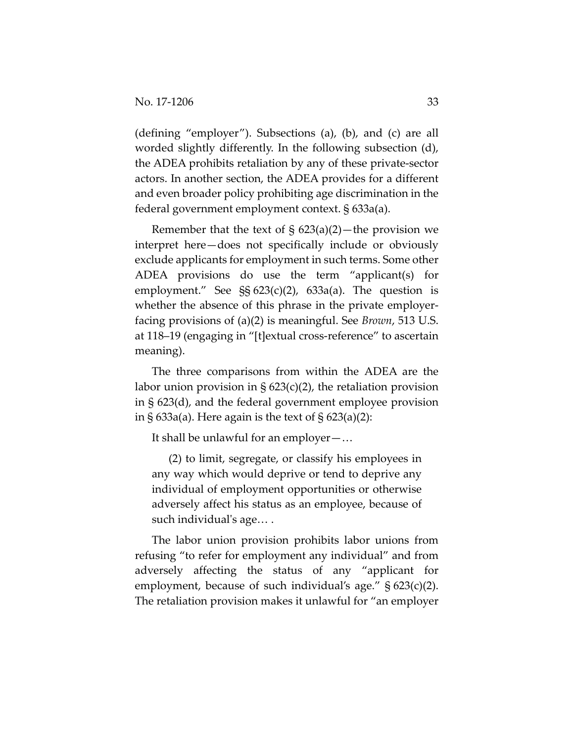(defining "employer"). Subsections (a), (b), and (c) are all worded slightly differently. In the following subsection (d), the ADEA prohibits retaliation by any of these private‐sector actors. In another section, the ADEA provides for a different and even broader policy prohibiting age discrimination in the federal government employment context. § 633a(a).

Remember that the text of  $\S$  623(a)(2)—the provision we interpret here—does not specifically include or obviously exclude applicants for employment in such terms. Some other ADEA provisions do use the term "applicant(s) for employment." See §§ 623(c)(2), 633a(a). The question is whether the absence of this phrase in the private employerfacing provisions of (a)(2) is meaningful. See *Brown*, 513 U.S. at 118–19 (engaging in "[t]extual cross‐reference" to ascertain meaning).

The three comparisons from within the ADEA are the labor union provision in  $\S 623(c)(2)$ , the retaliation provision in § 623(d), and the federal government employee provision in § 633a(a). Here again is the text of § 623(a)(2):

It shall be unlawful for an employer—…

(2) to limit, segregate, or classify his employees in any way which would deprive or tend to deprive any individual of employment opportunities or otherwise adversely affect his status as an employee, because of such individual's age....

The labor union provision prohibits labor unions from refusing "to refer for employment any individual" and from adversely affecting the status of any "applicant for employment, because of such individual's age." § 623(c)(2). The retaliation provision makes it unlawful for "an employer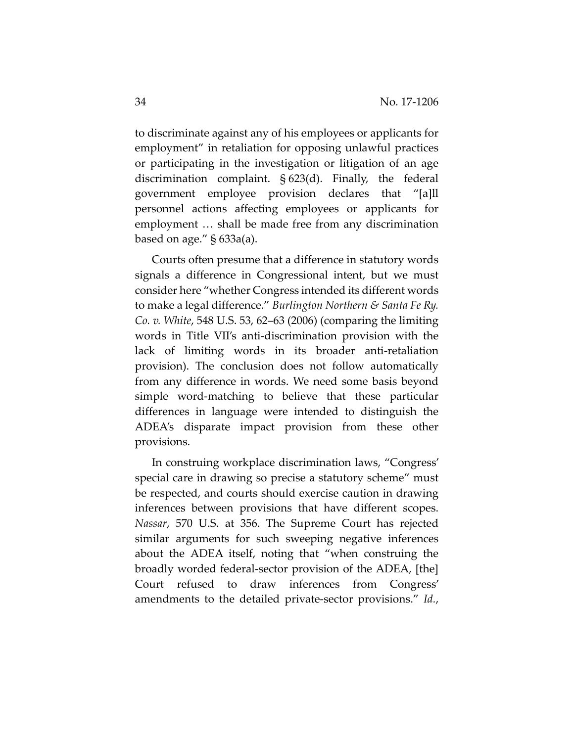to discriminate against any of his employees or applicants for employment" in retaliation for opposing unlawful practices or participating in the investigation or litigation of an age discrimination complaint. § 623(d). Finally, the federal government employee provision declares that "[a]ll personnel actions affecting employees or applicants for employment … shall be made free from any discrimination based on age." § 633a(a).

Courts often presume that a difference in statutory words signals a difference in Congressional intent, but we must consider here "whether Congress intended its different words to make a legal difference." *Burlington Northern & Santa Fe Ry. Co. v. White*, 548 U.S. 53, 62–63 (2006) (comparing the limiting words in Title VII's anti‐discrimination provision with the lack of limiting words in its broader anti‐retaliation provision). The conclusion does not follow automatically from any difference in words. We need some basis beyond simple word‐matching to believe that these particular differences in language were intended to distinguish the ADEA's disparate impact provision from these other provisions.

In construing workplace discrimination laws, "Congress' special care in drawing so precise a statutory scheme" must be respected, and courts should exercise caution in drawing inferences between provisions that have different scopes. *Nassar*, 570 U.S. at 356. The Supreme Court has rejected similar arguments for such sweeping negative inferences about the ADEA itself, noting that "when construing the broadly worded federal‐sector provision of the ADEA, [the] Court refused to draw inferences from Congress' amendments to the detailed private‐sector provisions." *Id.*,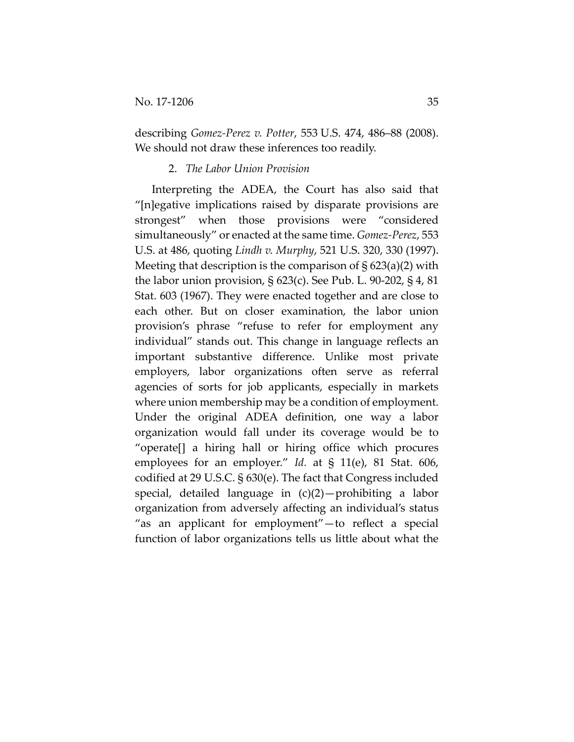describing *Gomez‐Perez v. Potter*, 553 U.S. 474, 486–88 (2008). We should not draw these inferences too readily.

# 2. *The Labor Union Provision*

Interpreting the ADEA, the Court has also said that "[n]egative implications raised by disparate provisions are strongest" when those provisions were "considered simultaneously" or enacted at the same time. *Gomez‐Perez*, 553 U.S. at 486, quoting *Lindh v. Murphy*, 521 U.S. 320, 330 (1997). Meeting that description is the comparison of  $\S 623(a)(2)$  with the labor union provision, § 623(c). See Pub. L. 90‐202, § 4, 81 Stat. 603 (1967). They were enacted together and are close to each other. But on closer examination, the labor union provision's phrase "refuse to refer for employment any individual" stands out. This change in language reflects an important substantive difference. Unlike most private employers, labor organizations often serve as referral agencies of sorts for job applicants, especially in markets where union membership may be a condition of employment. Under the original ADEA definition, one way a labor organization would fall under its coverage would be to "operate[] a hiring hall or hiring office which procures employees for an employer." *Id.* at § 11(e), 81 Stat. 606, codified at 29 U.S.C. § 630(e). The fact that Congress included special, detailed language in (c)(2)—prohibiting a labor organization from adversely affecting an individual's status "as an applicant for employment"—to reflect a special function of labor organizations tells us little about what the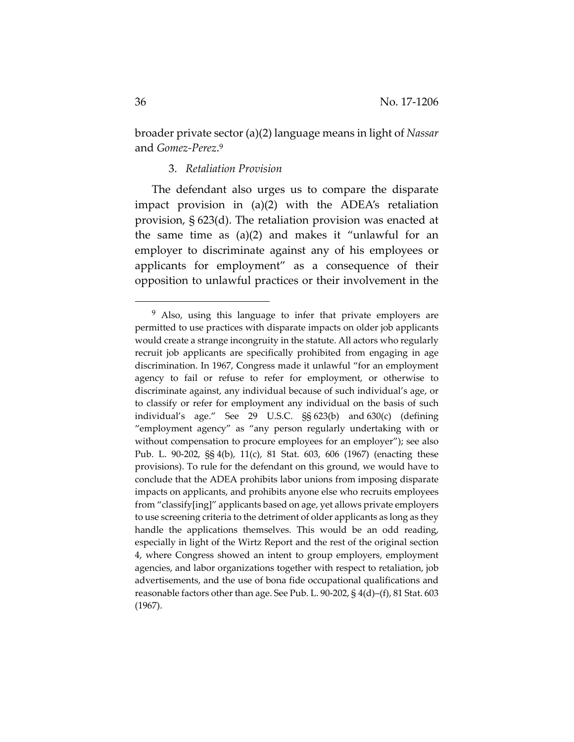broader private sector (a)(2) language means in light of *Nassar* and *Gomez‐Perez*.9

# 3. *Retaliation Provision*

The defendant also urges us to compare the disparate impact provision in (a)(2) with the ADEA's retaliation provision, § 623(d). The retaliation provision was enacted at the same time as (a)(2) and makes it "unlawful for an employer to discriminate against any of his employees or applicants for employment" as a consequence of their opposition to unlawful practices or their involvement in the

<sup>&</sup>lt;sup>9</sup> Also, using this language to infer that private employers are permitted to use practices with disparate impacts on older job applicants would create a strange incongruity in the statute. All actors who regularly recruit job applicants are specifically prohibited from engaging in age discrimination. In 1967, Congress made it unlawful "for an employment agency to fail or refuse to refer for employment, or otherwise to discriminate against, any individual because of such individual's age, or to classify or refer for employment any individual on the basis of such individual's age." See 29 U.S.C. §§ 623(b) and 630(c) (defining "employment agency" as "any person regularly undertaking with or without compensation to procure employees for an employer"); see also Pub. L. 90‐202, §§ 4(b), 11(c), 81 Stat. 603, 606 (1967) (enacting these provisions). To rule for the defendant on this ground, we would have to conclude that the ADEA prohibits labor unions from imposing disparate impacts on applicants, and prohibits anyone else who recruits employees from "classify[ing]" applicants based on age, yet allows private employers to use screening criteria to the detriment of older applicants as long as they handle the applications themselves. This would be an odd reading, especially in light of the Wirtz Report and the rest of the original section 4, where Congress showed an intent to group employers, employment agencies, and labor organizations together with respect to retaliation, job advertisements, and the use of bona fide occupational qualifications and reasonable factors other than age. See Pub. L. 90‐202, § 4(d)–(f), 81 Stat. 603 (1967).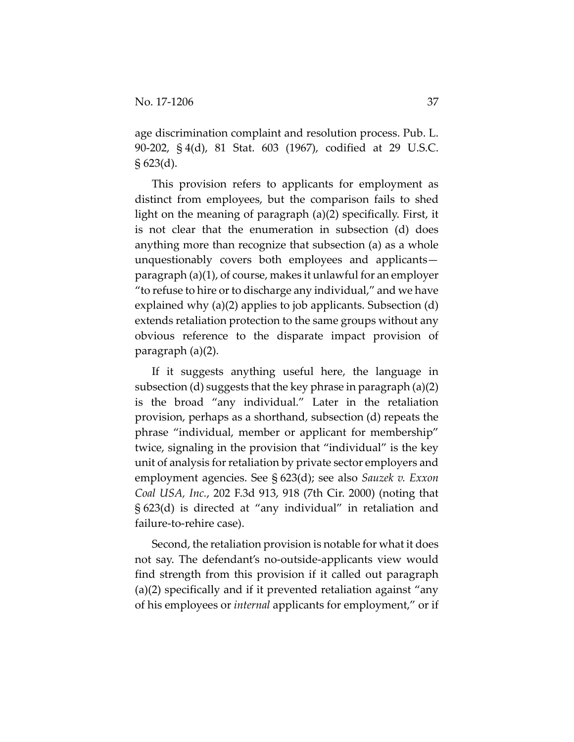age discrimination complaint and resolution process. Pub. L. 90‐202, § 4(d), 81 Stat. 603 (1967), codified at 29 U.S.C.  $\S 623(d)$ .

This provision refers to applicants for employment as distinct from employees, but the comparison fails to shed light on the meaning of paragraph (a)(2) specifically. First, it is not clear that the enumeration in subsection (d) does anything more than recognize that subsection (a) as a whole unquestionably covers both employees and applicants paragraph (a)(1), of course, makes it unlawful for an employer "to refuse to hire or to discharge any individual," and we have explained why (a)(2) applies to job applicants. Subsection (d) extends retaliation protection to the same groups without any obvious reference to the disparate impact provision of paragraph (a)(2).

If it suggests anything useful here, the language in subsection (d) suggests that the key phrase in paragraph (a)(2) is the broad "any individual." Later in the retaliation provision, perhaps as a shorthand, subsection (d) repeats the phrase "individual, member or applicant for membership" twice, signaling in the provision that "individual" is the key unit of analysis for retaliation by private sector employers and employment agencies. See § 623(d); see also *Sauzek v. Exxon Coal USA, Inc.*, 202 F.3d 913, 918 (7th Cir. 2000) (noting that § 623(d) is directed at "any individual" in retaliation and failure‐to‐rehire case).

Second, the retaliation provision is notable for what it does not say. The defendant's no‐outside‐applicants view would find strength from this provision if it called out paragraph (a)(2) specifically and if it prevented retaliation against "any of his employees or *internal* applicants for employment," or if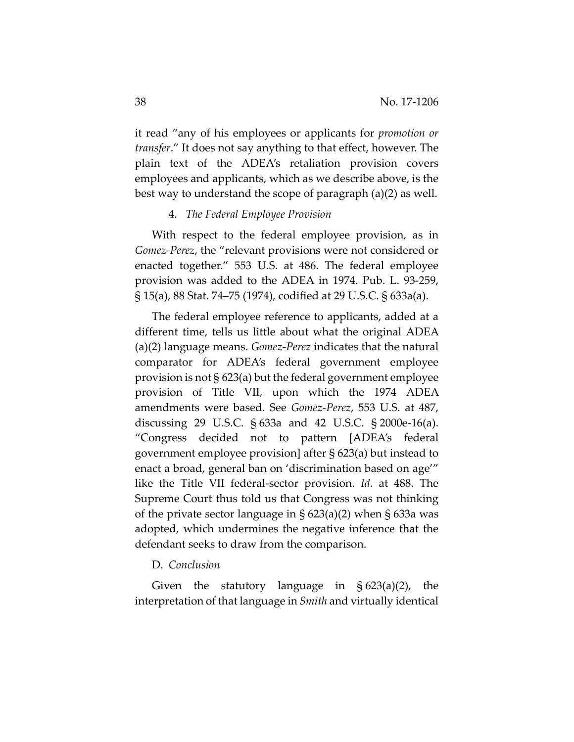it read "any of his employees or applicants for *promotion or transfer*." It does not say anything to that effect, however. The plain text of the ADEA's retaliation provision covers employees and applicants, which as we describe above, is the best way to understand the scope of paragraph (a)(2) as well.

# 4. *The Federal Employee Provision*

With respect to the federal employee provision, as in *Gomez‐Perez*, the "relevant provisions were not considered or enacted together." 553 U.S. at 486. The federal employee provision was added to the ADEA in 1974. Pub. L. 93‐259, § 15(a), 88 Stat. 74–75 (1974), codified at 29 U.S.C. § 633a(a).

The federal employee reference to applicants, added at a different time, tells us little about what the original ADEA (a)(2) language means. *Gomez‐Perez* indicates that the natural comparator for ADEA's federal government employee provision is not § 623(a) but the federal government employee provision of Title VII, upon which the 1974 ADEA amendments were based. See *Gomez‐Perez*, 553 U.S. at 487, discussing 29 U.S.C. § 633a and 42 U.S.C. § 2000e‐16(a). "Congress decided not to pattern [ADEA's federal government employee provision] after § 623(a) but instead to enact a broad, general ban on 'discrimination based on age'" like the Title VII federal‐sector provision. *Id.* at 488. The Supreme Court thus told us that Congress was not thinking of the private sector language in § 623(a)(2) when § 633a was adopted, which undermines the negative inference that the defendant seeks to draw from the comparison.

#### D. *Conclusion*

Given the statutory language in  $\S 623(a)(2)$ , the interpretation of that language in *Smith* and virtually identical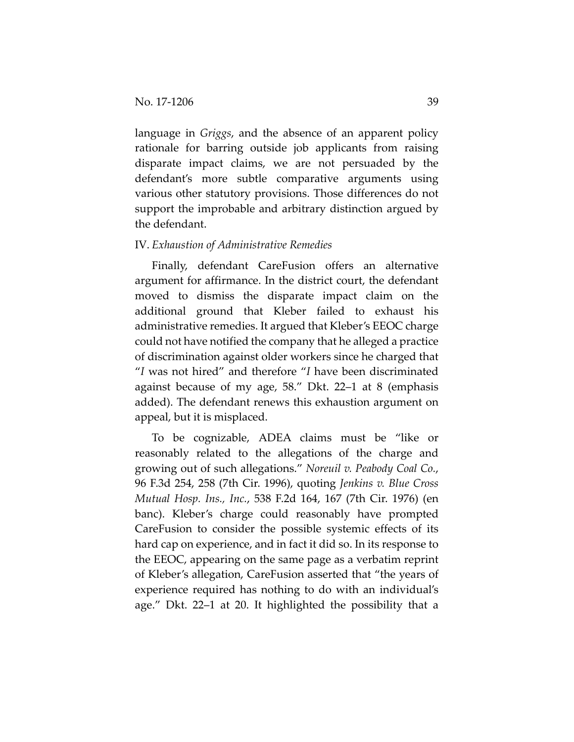language in *Griggs*, and the absence of an apparent policy rationale for barring outside job applicants from raising disparate impact claims, we are not persuaded by the defendant's more subtle comparative arguments using various other statutory provisions. Those differences do not support the improbable and arbitrary distinction argued by the defendant.

# IV. *Exhaustion of Administrative Remedies*

Finally, defendant CareFusion offers an alternative argument for affirmance. In the district court, the defendant moved to dismiss the disparate impact claim on the additional ground that Kleber failed to exhaust his administrative remedies. It argued that Kleber's EEOC charge could not have notified the company that he alleged a practice of discrimination against older workers since he charged that "*I* was not hired" and therefore "*I* have been discriminated against because of my age, 58." Dkt. 22–1 at 8 (emphasis added). The defendant renews this exhaustion argument on appeal, but it is misplaced.

To be cognizable, ADEA claims must be "like or reasonably related to the allegations of the charge and growing out of such allegations." *Noreuil v. Peabody Coal Co.*, 96 F.3d 254, 258 (7th Cir. 1996), quoting *Jenkins v. Blue Cross Mutual Hosp. Ins., Inc.*, 538 F.2d 164, 167 (7th Cir. 1976) (en banc). Kleber's charge could reasonably have prompted CareFusion to consider the possible systemic effects of its hard cap on experience, and in fact it did so. In its response to the EEOC, appearing on the same page as a verbatim reprint of Kleber's allegation, CareFusion asserted that "the years of experience required has nothing to do with an individual's age." Dkt. 22–1 at 20. It highlighted the possibility that a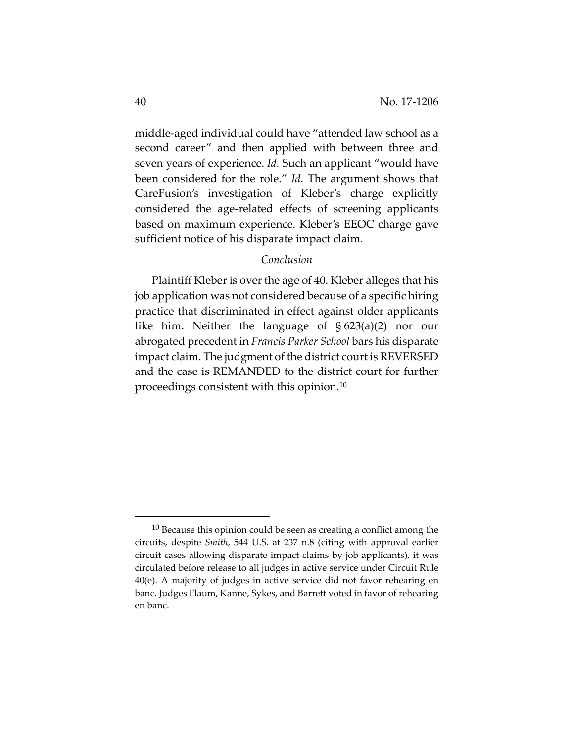middle‐aged individual could have "attended law school as a second career" and then applied with between three and seven years of experience. *Id.* Such an applicant "would have been considered for the role." *Id.* The argument shows that CareFusion's investigation of Kleber's charge explicitly considered the age‐related effects of screening applicants based on maximum experience. Kleber's EEOC charge gave sufficient notice of his disparate impact claim.

# *Conclusion*

Plaintiff Kleber is over the age of 40. Kleber alleges that his job application was not considered because of a specific hiring practice that discriminated in effect against older applicants like him. Neither the language of § 623(a)(2) nor our abrogated precedent in *Francis Parker School* bars his disparate impact claim. The judgment of the district court is REVERSED and the case is REMANDED to the district court for further proceedings consistent with this opinion.10

 $10$  Because this opinion could be seen as creating a conflict among the circuits, despite *Smith*, 544 U.S. at 237 n.8 (citing with approval earlier circuit cases allowing disparate impact claims by job applicants), it was circulated before release to all judges in active service under Circuit Rule 40(e). A majority of judges in active service did not favor rehearing en banc. Judges Flaum, Kanne, Sykes, and Barrett voted in favor of rehearing en banc.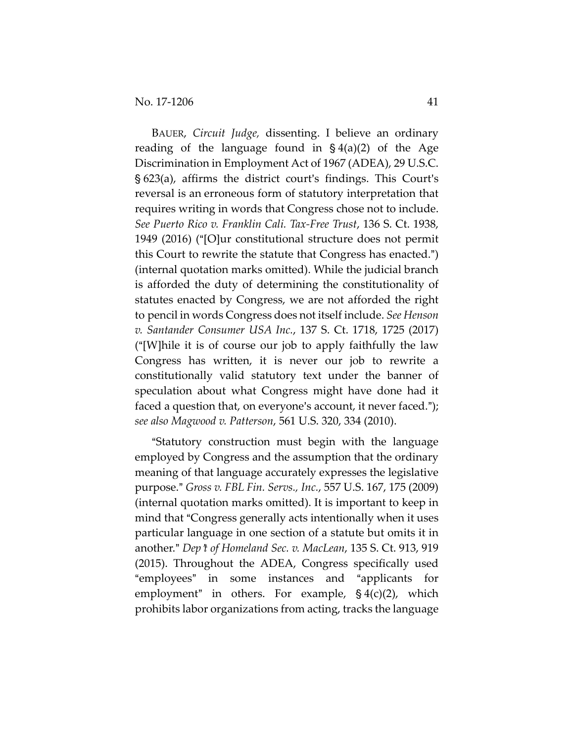BAUER, *Circuit Judge,* dissenting. I believe an ordinary reading of the language found in  $\S 4(a)(2)$  of the Age Discrimination in Employment Act of 1967 (ADEA), 29 U.S.C.  $\S$  623(a), affirms the district court's findings. This Court's reversal is an erroneous form of statutory interpretation that requires writing in words that Congress chose not to include. *See Puerto Rico v. Franklin Cali. Tax‐Free Trust*, 136 S. Ct. 1938, 1949 (2016) ("[O]ur constitutional structure does not permit this Court to rewrite the statute that Congress has enacted.") (internal quotation marks omitted). While the judicial branch is afforded the duty of determining the constitutionality of statutes enacted by Congress, we are not afforded the right to pencil in words Congress does not itself include. *See Henson v. Santander Consumer USA Inc.*, 137 S. Ct. 1718, 1725 (2017) ("[W] hile it is of course our job to apply faithfully the law Congress has written, it is never our job to rewrite a constitutionally valid statutory text under the banner of speculation about what Congress might have done had it faced a question that, on everyone's account, it never faced."); *see also Magwood v. Patterson*, 561 U.S. 320, 334 (2010).

"Statutory construction must begin with the language employed by Congress and the assumption that the ordinary meaning of that language accurately expresses the legislative purpose.@ *Gross v. FBL Fin. Servs., Inc.*, 557 U.S. 167, 175 (2009) (internal quotation marks omitted). It is important to keep in mind that "Congress generally acts intentionally when it uses particular language in one section of a statute but omits it in another.@ *Dep*=*t of Homeland Sec. v. MacLean*, 135 S. Ct. 913, 919 (2015). Throughout the ADEA, Congress specifically used "employees" in some instances and "applicants for employment" in others. For example,  $\S 4(c)(2)$ , which prohibits labor organizations from acting, tracks the language